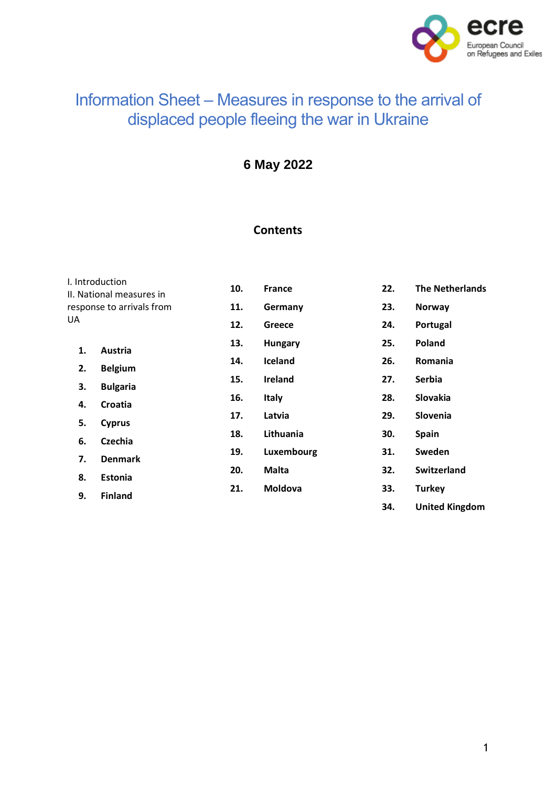

# Information Sheet – Measures in response to the arrival of displaced people fleeing the war in Ukraine

**6 May 2022**

# **Contents**

| I. Introduction<br>II. National measures in<br>response to arrivals from<br>UA |                                  | 10. | <b>France</b>  | 22. | <b>The Netherlands</b> |
|--------------------------------------------------------------------------------|----------------------------------|-----|----------------|-----|------------------------|
|                                                                                |                                  | 11. | Germany        | 23. | <b>Norway</b>          |
|                                                                                |                                  | 12. | Greece         | 24. | Portugal               |
| 1.                                                                             | Austria                          | 13. | <b>Hungary</b> | 25. | Poland                 |
| 2.                                                                             | <b>Belgium</b>                   | 14. | Iceland        | 26. | Romania                |
| 3.                                                                             | <b>Bulgaria</b>                  | 15. | <b>Ireland</b> | 27. | <b>Serbia</b>          |
| 4.                                                                             | Croatia                          | 16. | <b>Italy</b>   | 28. | Slovakia               |
|                                                                                |                                  | 17. | Latvia         | 29. | Slovenia               |
| 5.                                                                             | <b>Cyprus</b>                    | 18. | Lithuania      | 30. | <b>Spain</b>           |
| 6.<br>7.                                                                       | <b>Czechia</b><br><b>Denmark</b> | 19. | Luxembourg     | 31. | Sweden                 |
|                                                                                |                                  | 20. | Malta          | 32. | <b>Switzerland</b>     |
| 8.                                                                             | <b>Estonia</b>                   | 21. | <b>Moldova</b> | 33. | <b>Turkey</b>          |
| 9.                                                                             | <b>Finland</b>                   |     |                | 34. | <b>United Kingdom</b>  |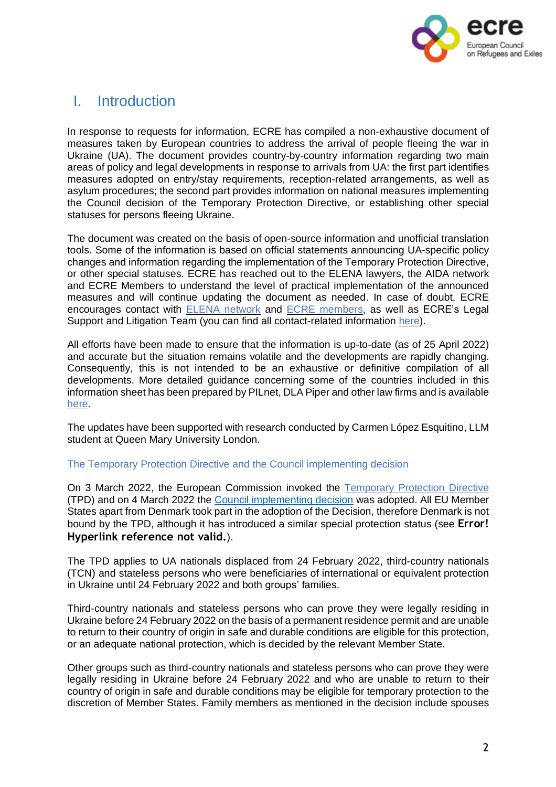

# <span id="page-1-0"></span>I. Introduction

In response to requests for information, ECRE has compiled a non-exhaustive document of measures taken by European countries to address the arrival of people fleeing the war in Ukraine (UA). The document provides country-by-country information regarding two main areas of policy and legal developments in response to arrivals from UA: the first part identifies measures adopted on entry/stay requirements, reception-related arrangements, as well as asylum procedures; the second part provides information on national measures implementing the Council decision of the Temporary Protection Directive, or establishing other special statuses for persons fleeing Ukraine.

The document was created on the basis of open-source information and unofficial translation tools. Some of the information is based on official statements announcing UA-specific policy changes and information regarding the implementation of the Temporary Protection Directive, or other special statuses. ECRE has reached out to the ELENA lawyers, the AIDA network and ECRE Members to understand the level of practical implementation of the announced measures and will continue updating the document as needed. In case of doubt, ECRE encourages contact with **ELENA** [network](https://ecre.org/our-work/elena/) and **ECRE** [members,](https://ecre.org/members/) as well as ECRE's Legal Support and Litigation Team (you can find all contact-related information [here\)](https://ecre.org/staff/).

All efforts have been made to ensure that the information is up-to-date (as of 25 April 2022) and accurate but the situation remains volatile and the developments are rapidly changing. Consequently, this is not intended to be an exhaustive or definitive compilation of all developments. More detailed guidance concerning some of the countries included in this information sheet has been prepared by PILnet, DLA Piper and other law firms and is available [here.](https://www.pilnet.org/resource/immigration-guidance/)

The updates have been supported with research conducted by Carmen López Esquitino, LLM student at Queen Mary University London.

#### The Temporary Protection Directive and the Council implementing decision

On 3 March 2022, the European Commission invoked the [Temporary](https://eur-lex.europa.eu/legal-content/EN/TXT/?uri=celex%25253A32001L0055) Protection Directive (TPD) and on 4 March 2022 the Council [implementing](https://eur-lex.europa.eu/legal-content/EN/TXT/?uri=uriserv:OJ.L_.2022.071.01.0001.01.ENG&toc=OJ:L:2022:071:TOC) decision was adopted. All EU Member States apart from Denmark took part in the adoption of the Decision, therefore Denmark is not bound by the TPD, although it has introduced a similar special protection status (see **Error! Hyperlink reference not valid.**).

The TPD applies to UA nationals displaced from 24 February 2022, third-country nationals (TCN) and stateless persons who were beneficiaries of international or equivalent protection in Ukraine until 24 February 2022 and both groups' families.

Third-country nationals and stateless persons who can prove they were legally residing in Ukraine before 24 February 2022 on the basis of a permanent residence permit and are unable to return to their country of origin in safe and durable conditions are eligible for this protection, or an adequate national protection, which is decided by the relevant Member State.

Other groups such as third-country nationals and stateless persons who can prove they were legally residing in Ukraine before 24 February 2022 and who are unable to return to their country of origin in safe and durable conditions may be eligible for temporary protection to the discretion of Member States. Family members as mentioned in the decision include spouses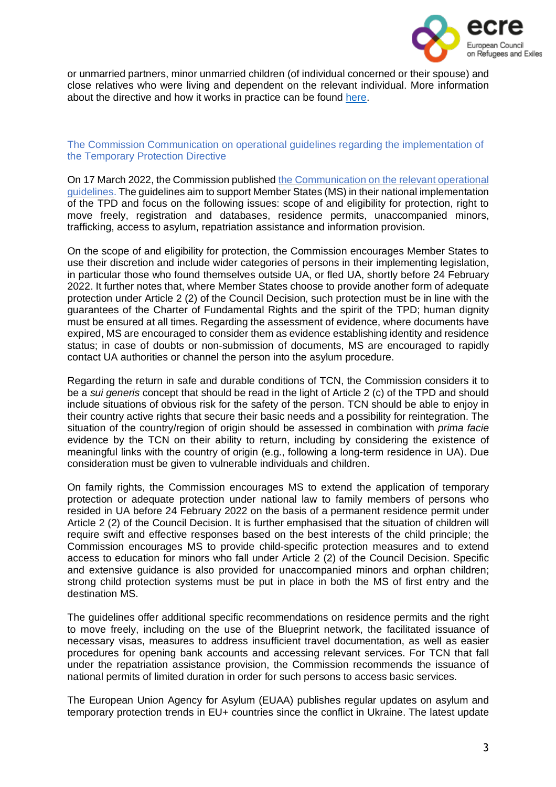

or unmarried partners, minor unmarried children (of individual concerned or their spouse) and close relatives who were living and dependent on the relevant individual. More information about the directive and how it works in practice can be found [here.](https://ec.europa.eu/info/strategy/priorities-2019-2024/stronger-europe-world/eu-solidarity-ukraine/eu-assistance-ukraine/information-people-fleeing-war-ukraine_en)

The Commission Communication on operational guidelines regarding the implementation of the Temporary Protection Directive

On 17 March 2022, the Commission published the [Communication](https://ec.europa.eu/home-affairs/communication-operational-guidelines-establishing-existence-mass-influx-displaced-persons-ukraine_en) on the relevant operational [guidelines.](https://ec.europa.eu/home-affairs/communication-operational-guidelines-establishing-existence-mass-influx-displaced-persons-ukraine_en) The guidelines aim to support Member States (MS) in their national implementation of the TPD and focus on the following issues: scope of and eligibility for protection, right to move freely, registration and databases, residence permits, unaccompanied minors, trafficking, access to asylum, repatriation assistance and information provision.

On the scope of and eligibility for protection, the Commission encourages Member States to use their discretion and include wider categories of persons in their implementing legislation, in particular those who found themselves outside UA, or fled UA, shortly before 24 February 2022. It further notes that, where Member States choose to provide another form of adequate protection under Article 2 (2) of the Council Decision, such protection must be in line with the guarantees of the Charter of Fundamental Rights and the spirit of the TPD; human dignity must be ensured at all times. Regarding the assessment of evidence, where documents have expired, MS are encouraged to consider them as evidence establishing identity and residence status; in case of doubts or non-submission of documents, MS are encouraged to rapidly contact UA authorities or channel the person into the asylum procedure.

Regarding the return in safe and durable conditions of TCN, the Commission considers it to be a *sui generis* concept that should be read in the light of Article 2 (c) of the TPD and should include situations of obvious risk for the safety of the person. TCN should be able to enjoy in their country active rights that secure their basic needs and a possibility for reintegration. The situation of the country/region of origin should be assessed in combination with *prima facie* evidence by the TCN on their ability to return, including by considering the existence of meaningful links with the country of origin (e.g., following a long-term residence in UA). Due consideration must be given to vulnerable individuals and children.

On family rights, the Commission encourages MS to extend the application of temporary protection or adequate protection under national law to family members of persons who resided in UA before 24 February 2022 on the basis of a permanent residence permit under Article 2 (2) of the Council Decision. It is further emphasised that the situation of children will require swift and effective responses based on the best interests of the child principle; the Commission encourages MS to provide child-specific protection measures and to extend access to education for minors who fall under Article 2 (2) of the Council Decision. Specific and extensive guidance is also provided for unaccompanied minors and orphan children; strong child protection systems must be put in place in both the MS of first entry and the destination MS.

The guidelines offer additional specific recommendations on residence permits and the right to move freely, including on the use of the Blueprint network, the facilitated issuance of necessary visas, measures to address insufficient travel documentation, as well as easier procedures for opening bank accounts and accessing relevant services. For TCN that fall under the repatriation assistance provision, the Commission recommends the issuance of national permits of limited duration in order for such persons to access basic services.

The European Union Agency for Asylum (EUAA) publishes regular updates on asylum and temporary protection trends in EU+ countries since the conflict in Ukraine. The latest update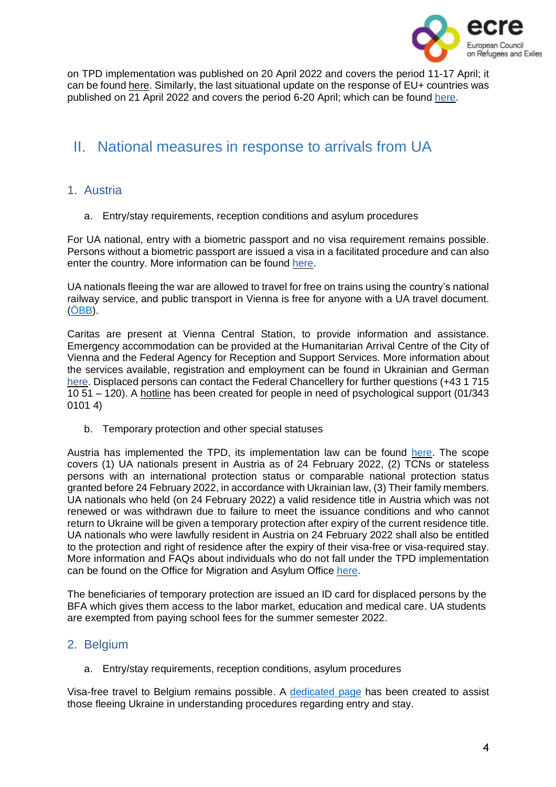

on TPD implementation was published on 20 April 2022 and covers the period 11-17 April; it can be found [here.](https://euaa.europa.eu/publications/analysis-asylum-and-temporary-protection-eu-context-ukraine-crisis-1) Similarly, the last situational update on the response of EU+ countries was published on 21 April 2022 and covers the period 6-20 April; which can be found [here.](https://euaa.europa.eu/publications/eu-countries-continue-address-protection-needs-displaced-persons-ukraine)

# <span id="page-3-0"></span>II. National measures in response to arrivals from UA

# <span id="page-3-1"></span>1. Austria

a. Entry/stay requirements, reception conditions and asylum procedures

For UA national, entry with a biometric passport and no visa requirement remains possible. Persons without a biometric passport are issued a visa in a facilitated procedure and can also enter the country. More information can be found [here.](https://www.oesterreich.gv.at/en/themen/gesundheit_und_notfaelle/Informationen-f%C3%BCr-ukrainische-Staatsangeh%C3%B6rige.html)

UA nationals fleeing the war are allowed to travel for free on trains using the country's national railway service, and public transport in Vienna is free for anyone with a UA travel document. [\(ÖBB\)](https://www.oebb.at/en/neuigkeiten/ukraine-hilfe).

Caritas are present at Vienna Central Station, to provide information and assistance. Emergency accommodation can be provided at the Humanitarian Arrival Centre of the City of Vienna and the Federal Agency for Reception and Support Services. More information about the services available, registration and employment can be found in Ukrainian and German [here.](https://start.wien.gv.at/ukraine) Displaced persons can contact the Federal Chancellery for further questions (+43 1 715 10 51 – 120). A [hotline](https://www.diakonie.at/file/download/32730/file/AMIKE-Telefon_Diakonie_Infoblatt_Ukrain_Russ_Engl.pdf) has been created for people in need of psychological support (01/343 0101 4)

b. Temporary protection and other special statuses

Austria has implemented the TPD, its implementation law can be found [here.](https://www.ris.bka.gv.at/Dokumente/BgblAuth/BGBLA_2022_II_92/BGBLA_2022_II_92.html) The scope covers (1) UA nationals present in Austria as of 24 February 2022, (2) TCNs or stateless persons with an international protection status or comparable national protection status granted before 24 February 2022, in accordance with Ukrainian law, (3) Their family members. UA nationals who held (on 24 February 2022) a valid residence title in Austria which was not renewed or was withdrawn due to failure to meet the issuance conditions and who cannot return to Ukraine will be given a temporary protection after expiry of the current residence title. UA nationals who were lawfully resident in Austria on 24 February 2022 shall also be entitled to the protection and right of residence after the expiry of their visa-free or visa-required stay. More information and FAQs about individuals who do not fall under the TPD implementation can be found on the Office for Migration and Asylum Office [here.](https://www.bfa.gv.at/news.aspx?id=455643766D7646497145673D)

The beneficiaries of temporary protection are issued an ID card for displaced persons by the BFA which gives them access to the labor market, education and medical care. UA students are exempted from paying school fees for the summer semester 2022.

# <span id="page-3-2"></span>2. Belgium

a. Entry/stay requirements, reception conditions, asylum procedures

Visa-free travel to Belgium remains possible. A [dedicated](https://info-ukraine.be/en) page has been created to assist those fleeing Ukraine in understanding procedures regarding entry and stay.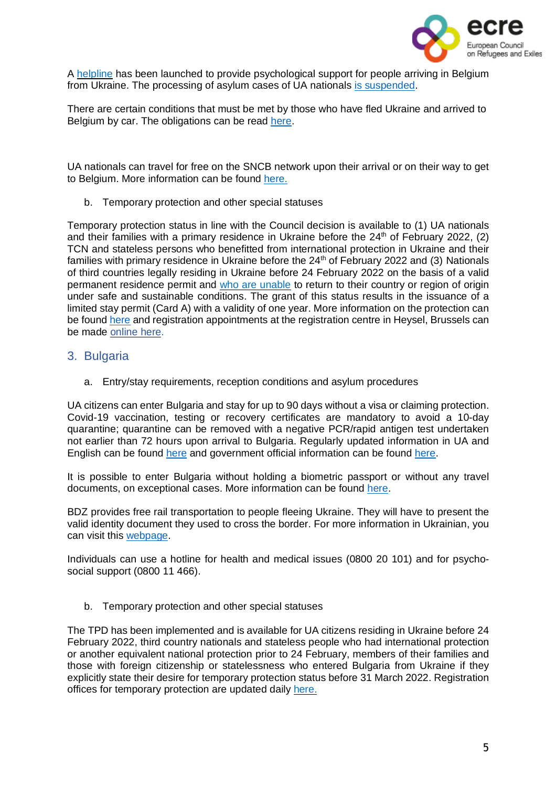

A [helpline](https://www.solentra.be/en/nieuwsblog/we-mind-helpline-for-psychological-support-for-ukrainian-refugees/) has been launched to provide psychological support for people arriving in Belgium from Ukraine. The processing of asylum cases of UA nationals is [suspended.](https://www.cgra.be/fr/actualite/situation-en-ukraine-gel-du-traitement-des-demandes)

There are certain conditions that must be met by those who have fled Ukraine and arrived to Belgium by car. The obligations can be read [here.](https://info-ukraine.be/en/newsroom/obligations-affecting-road-vehicles-ukraine)

UA nationals can travel for free on the SNCB network upon their arrival or on their way to get to Belgium. More information can be found [here.](https://www.belgiantrain.be/en/news/ticket-help-ukraine)

b. Temporary protection and other special statuses

Temporary protection status in line with the Council decision is available to (1) UA nationals and their families with a primary residence in Ukraine before the  $24<sup>th</sup>$  of February 2022, (2) TCN and stateless persons who benefitted from international protection in Ukraine and their families with primary residence in Ukraine before the 24<sup>th</sup> of February 2022 and (3) Nationals of third countries legally residing in Ukraine before 24 February 2022 on the basis of a valid permanent residence permit and who are [unable](https://dofi.ibz.be/en/themes/ukraine/temporary-protection/stateless-persons-and-third-country-nationals) to return to their country or region of origin under safe and sustainable conditions. The grant of this status results in the issuance of a limited stay permit (Card A) with a validity of one year. More information on the protection can be found [here](https://dofi.ibz.be/en/themes/ukraine/temporary-protection) and registration appointments at the registration centre in Heysel, Brussels can be made [online](https://register-ukraine.be/) here.

#### <span id="page-4-0"></span>3. Bulgaria

a. Entry/stay requirements, reception conditions and asylum procedures

UA citizens can enter Bulgaria and stay for up to 90 days without a visa or claiming protection. Covid-19 vaccination, testing or recovery certificates are mandatory to avoid a 10-day quarantine; quarantine can be removed with a negative PCR/rapid antigen test undertaken not earlier than 72 hours upon arrival to Bulgaria. Regularly updated information in UA and English can be found [here](https://cms.law/en/int/expert-guides/cms-expert-guide-to-refugee-immigration-and-travel-requirements/bulgaria) and government official information can be found [here.](https://gov.bg/en/ukraine)

It is possible to enter Bulgaria without holding a biometric passport or without any travel documents, on exceptional cases. More information can be found [here.](https://cms.law/en/int/expert-guides/cms-expert-guide-to-refugee-immigration-and-travel-requirements/bulgaria)

BDZ provides free rail transportation to people fleeing Ukraine. They will have to present the valid identity document they used to cross the border. For more information in Ukrainian, you can visit this [webpage.](https://www.bdz.bg/bg/a/bdzh-shche-osiguryava-bezplaten-prevoz-na-pristigashchi-ot-ukrayna-grazhdani-na-teritoriyata-na-blgariya)

Individuals can use a hotline for health and medical issues (0800 20 101) and for psychosocial support (0800 11 466).

b. Temporary protection and other special statuses

The TPD has been implemented and is available for UA citizens residing in Ukraine before 24 February 2022, third country nationals and stateless people who had international protection or another equivalent national protection prior to 24 February, members of their families and those with foreign citizenship or statelessness who entered Bulgaria from Ukraine if they explicitly state their desire for temporary protection status before 31 March 2022. Registration offices for temporary protection are updated daily [here.](https://ukraine.gov.bg/issuance-of-temporary-protection/)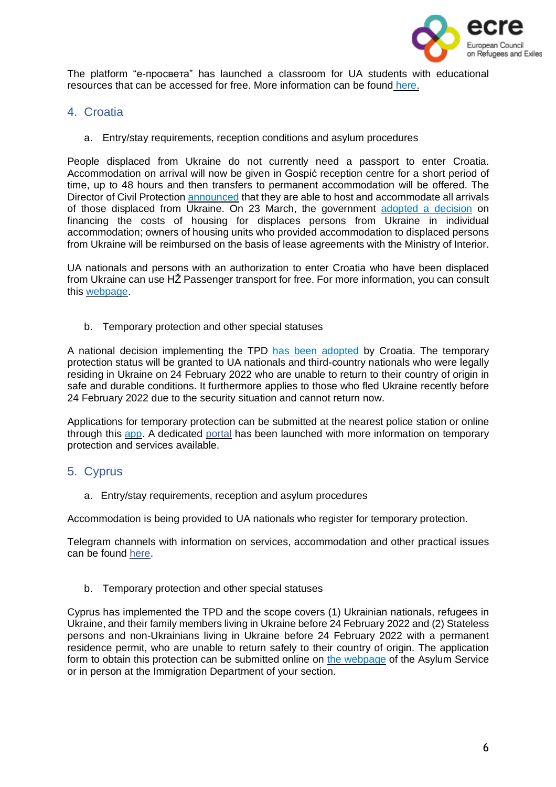

The platform "е-просвета" has launched a classroom for UA students with educational resources that can be accessed for free. More information can be found [here.](https://ukraine.gov.bg/2022/03/28/e-classroom-for-ukrainian-children/)

- <span id="page-5-0"></span>4. Croatia
	- a. Entry/stay requirements, reception conditions and asylum procedures

People displaced from Ukraine do not currently need a passport to enter Croatia. Accommodation on arrival will now be given in Gospić reception centre for a short period of time, up to 48 hours and then transfers to permanent accommodation will be offered. The Director of Civil Protection [announced](https://civilna-zastita.gov.hr/vijesti/trut-prihvatit-cemo-sve-raseljene-osobe-iz-ukrajine-koje-odluce-doci-u-republiku-hrvatsku/5572) that they are able to host and accommodate all arrivals of those displaced from Ukraine. On 23 March, the government adopted a [decision](https://mup-gov-hr.translate.goog/vijesti/vlada-rh-donijela-odluku-o-financiranju-troskova-za-stambeno-zbrinjavanje-raseljenih-osoba-iz-ukrajine-u-pojedinacnom-smjestaju/288597?_x_tr_sl=hr&_x_tr_tl=en&_x_tr_hl=el&_x_tr_pto=wapp) on financing the costs of housing for displaces persons from Ukraine in individual accommodation; owners of housing units who provided accommodation to displaced persons from Ukraine will be reimbursed on the basis of lease agreements with the Ministry of Interior.

UA nationals and persons with an authorization to enter Croatia who have been displaced from Ukraine can use HŽ Passenger transport for free. For more information, you can consult this [webpage.](http://www.hzpp.hr/hrvatska-za-ukrajinu?p=271)

b. Temporary protection and other special statuses

A national decision implementing the TPD has been [adopted](https://mup-gov-hr.translate.goog/vijesti/vlada-prihvatila-odluku-o-uvodjenju-privremene-zastite-u-republici-hrvatskoj-za-raseljene-osobe-iz-ukrajine/288564?_x_tr_sl=hr&_x_tr_tl=en&_x_tr_hl=el&_x_tr_pto=wapp) by Croatia. The temporary protection status will be granted to UA nationals and third-country nationals who were legally residing in Ukraine on 24 February 2022 who are unable to return to their country of origin in safe and durable conditions. It furthermore applies to those who fled Ukraine recently before 24 February 2022 due to the security situation and cannot return now.

Applications for temporary protection can be submitted at the nearest police station or online through this [app.](https://croatia4ukraine.mup.hr/Pages/Zahtjev) A dedicated [portal](https://hrvatskazaukrajinu.gov.hr/ua) has been launched with more information on temporary protection and services available.

# <span id="page-5-1"></span>5. Cyprus

a. Entry/stay requirements, reception and asylum procedures

Accommodation is being provided to UA nationals who register for temporary protection.

Telegram channels with information on services, accommodation and other practical issues can be found [here.](https://ukr.cy/)

b. Temporary protection and other special statuses

Cyprus has implemented the TPD and the scope covers (1) Ukrainian nationals, refugees in Ukraine, and their family members living in Ukraine before 24 February 2022 and (2) Stateless persons and non-Ukrainians living in Ukraine before 24 February 2022 with a permanent residence permit, who are unable to return safely to their country of origin. The application form to obtain this protection can be submitted online on the [webpage](http://www.moi.gov.cy/moi/asylum/asylumservice.nsf/index_en/index_en?OpenDocument) of the Asylum Service or in person at the Immigration Department of your section.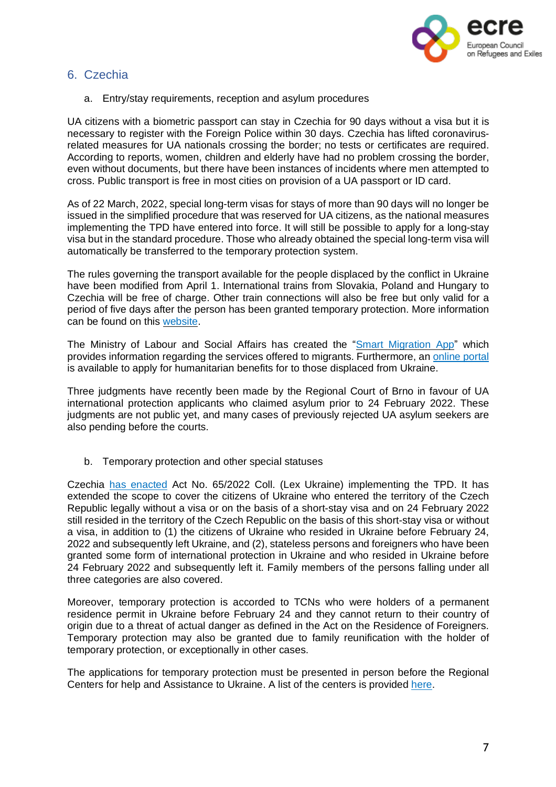

# <span id="page-6-0"></span>6. Czechia

a. Entry/stay requirements, reception and asylum procedures

UA citizens with a biometric passport can stay in Czechia for 90 days without a visa but it is necessary to register with the Foreign Police within 30 days. Czechia has lifted coronavirusrelated measures for UA nationals crossing the border; no tests or certificates are required. According to reports, women, children and elderly have had no problem crossing the border, even without documents, but there have been instances of incidents where men attempted to cross. Public transport is free in most cities on provision of a UA passport or ID card.

As of 22 March, 2022, special long-term visas for stays of more than 90 days will no longer be issued in the simplified procedure that was reserved for UA citizens, as the national measures implementing the TPD have entered into force. It will still be possible to apply for a long-stay visa but in the standard procedure. Those who already obtained the special long-term visa will automatically be transferred to the temporary protection system.

The rules governing the transport available for the people displaced by the conflict in Ukraine have been modified from April 1. International trains from Slovakia, Poland and Hungary to Czechia will be free of charge. Other train connections will also be free but only valid for a period of five days after the person has been granted temporary protection. More information can be found on this [website.](https://www.cd.cz/info/aktuality/-36295/)

The Ministry of Labour and Social Affairs has created the "Smart [Migration](https://play.google.com/store/apps/details?id=cz.mpsv.smartmigration) App" which provides information regarding the services offered to migrants. Furthermore, an [online](https://davkyuk.mpsv.cz/jazyk) portal is available to apply for humanitarian benefits for to those displaced from Ukraine.

Three judgments have recently been made by the Regional Court of Brno in favour of UA international protection applicants who claimed asylum prior to 24 February 2022. These judgments are not public yet, and many cases of previously rejected UA asylum seekers are also pending before the courts.

b. Temporary protection and other special statuses

Czechia has [enacted](https://www.mvcr.cz/mvcren/article/information-for-ukrainian-citizens.aspx) Act No. 65/2022 Coll. (Lex Ukraine) implementing the TPD. It has extended the scope to cover the citizens of Ukraine who entered the territory of the Czech Republic legally without a visa or on the basis of a short-stay visa and on 24 February 2022 still resided in the territory of the Czech Republic on the basis of this short-stay visa or without a visa, in addition to (1) the citizens of Ukraine who resided in Ukraine before February 24, 2022 and subsequently left Ukraine, and (2), stateless persons and foreigners who have been granted some form of international protection in Ukraine and who resided in Ukraine before 24 February 2022 and subsequently left it. Family members of the persons falling under all three categories are also covered.

Moreover, temporary protection is accorded to TCNs who were holders of a permanent residence permit in Ukraine before February 24 and they cannot return to their country of origin due to a threat of actual danger as defined in the Act on the Residence of Foreigners. Temporary protection may also be granted due to family reunification with the holder of temporary protection, or exceptionally in other cases.

The applications for temporary protection must be presented in person before the Regional Centers for help and Assistance to Ukraine. A list of the centers is provided [here.](https://www.google.com/maps/d/viewer?mid=1FaqUgfUDGw0B6_tGVRZE4UhnM-dL_tXp&ll=49.82686023934492%2C15.549044028612261&z=9)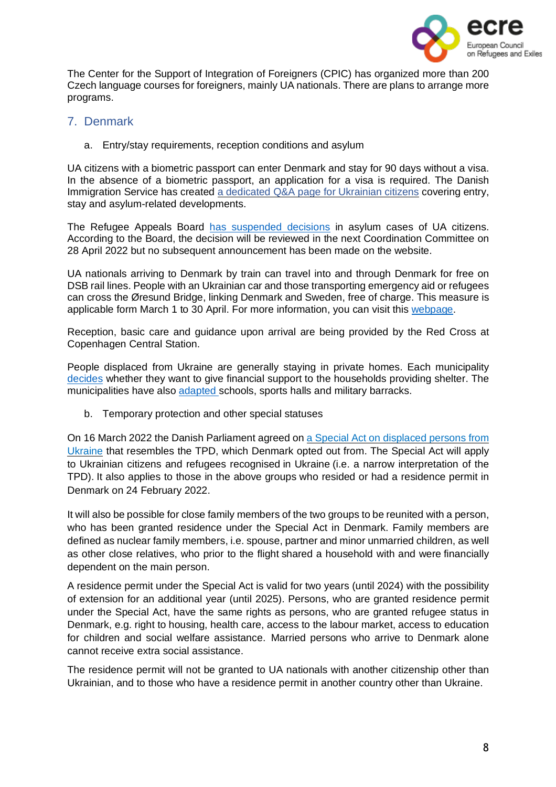

The Center for the Support of Integration of Foreigners (CPIC) has organized more than 200 Czech language courses for foreigners, mainly UA nationals. There are plans to arrange more programs.

# <span id="page-7-0"></span>7. Denmark

a. Entry/stay requirements, reception conditions and asylum

UA citizens with a biometric passport can enter Denmark and stay for 90 days without a visa. In the absence of a biometric passport, an application for a visa is required. The Danish Immigration Service has created a [dedicated](https://www.nyidanmark.dk/en-GB/Words%20and%20Concepts%20Front%20Page/Shared/Information%20Ukraine) Q&A page for Ukrainian citizens covering entry, stay and asylum-related developments.

The Refugee Appeals Board has [suspended](https://fln.dk/da/Nyheder/Nyhedsarkiv/2022/240220221) decisions in asylum cases of UA citizens. According to the Board, the decision will be reviewed in the next Coordination Committee on 28 April 2022 but no subsequent announcement has been made on the website.

UA nationals arriving to Denmark by train can travel into and through Denmark for free on DSB rail lines. People with an Ukrainian car and those transporting emergency aid or refugees can cross the Øresund Bridge, linking Denmark and Sweden, free of charge. This measure is applicable form March 1 to 30 April. For more information, you can visit this [webpage.](https://www.oresundsbron.com/en/info/ukraine)

Reception, basic care and guidance upon arrival are being provided by the Red Cross at Copenhagen Central Station.

People displaced from Ukraine are generally staying in private homes. Each municipality [decides](https://www.dr.dk/nyheder/regionale/syd/har-du-ukrainere-boende-i-dit-hjem-i-nogle-kommuner-kan-du-faa-penge-det) whether they want to give financial support to the households providing shelter. The municipalities have also [adapted](https://www.tv2east.dk/sjaelland-og-oeerne/kommuner-klar-med-husly-til-mindst-15000-ukrainere) schools, sports halls and military barracks.

b. Temporary protection and other special statuses

On 16 March 2022 the Danish Parliament agreed on a Special Act on [displaced](https://www.nyidanmark.dk/en-GB/Words%25252520and%25252520Concepts%25252520Front%25252520Page/Shared/Information%25252520Ukraine) persons from [Ukraine](https://www.nyidanmark.dk/en-GB/Words%25252520and%25252520Concepts%25252520Front%25252520Page/Shared/Information%25252520Ukraine) that resembles the TPD, which Denmark opted out from. The Special Act will apply to Ukrainian citizens and refugees recognised in Ukraine (i.e. a narrow interpretation of the TPD). It also applies to those in the above groups who resided or had a residence permit in Denmark on 24 February 2022.

It will also be possible for close family members of the two groups to be reunited with a person, who has been granted residence under the Special Act in Denmark. Family members are defined as nuclear family members, i.e. spouse, partner and minor unmarried children, as well as other close relatives, who prior to the flight shared a household with and were financially dependent on the main person.

A residence permit under the Special Act is valid for two years (until 2024) with the possibility of extension for an additional year (until 2025). Persons, who are granted residence permit under the Special Act, have the same rights as persons, who are granted refugee status in Denmark, e.g. right to housing, health care, access to the labour market, access to education for children and social welfare assistance. Married persons who arrive to Denmark alone cannot receive extra social assistance.

The residence permit will not be granted to UA nationals with another citizenship other than Ukrainian, and to those who have a residence permit in another country other than Ukraine.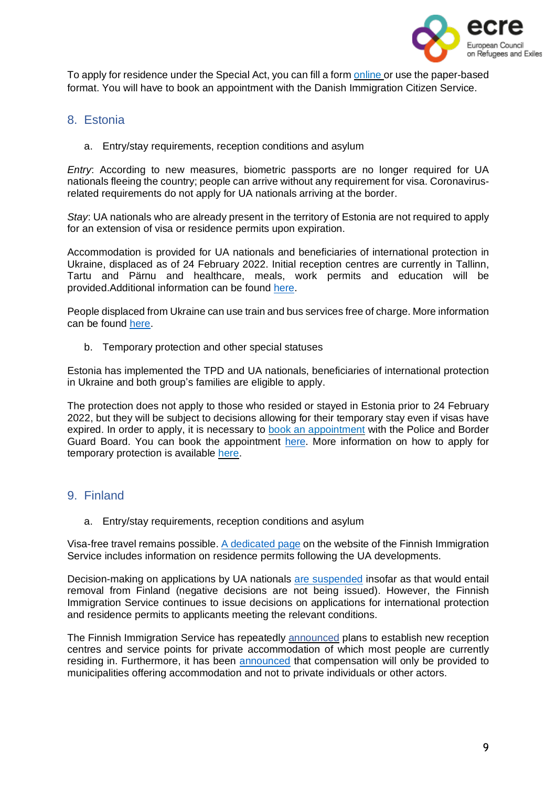

To apply for residence under the Special Act, you can fill a form [online](https://blanket.nyidanmark.dk/xform/formularer/sl1b.form.aspx) or use the paper-based format. You will have to book an appointment with the Danish Immigration Citizen Service.

#### <span id="page-8-0"></span>8. Estonia

a. Entry/stay requirements, reception conditions and asylum

*Entry*: According to new measures, biometric passports are no longer required for UA nationals fleeing the country; people can arrive without any requirement for visa. Coronavirusrelated requirements do not apply for UA nationals arriving at the border.

*Stay*: UA nationals who are already present in the territory of Estonia are not required to apply for an extension of visa or residence permits upon expiration.

Accommodation is provided for UA nationals and beneficiaries of international protection in Ukraine, displaced as of 24 February 2022. Initial reception centres are currently in Tallinn, Tartu and Pärnu and healthcare, meals, work permits and education will be provided.Additional information can be found [here.](https://kriis.ee/en/security-situation-europe/ukrainian-war-refugees/staying-estonia)

People displaced from Ukraine can use train and bus services free of charge. More information can be found [here.](https://www.mkm.ee/en/news/ukrainian-war-refugees-can-travel-estonian-trains-and-city-and-county-buses-free-charge)

b. Temporary protection and other special statuses

Estonia has implemented the TPD and UA nationals, beneficiaries of international protection in Ukraine and both group's families are eligible to apply.

The protection does not apply to those who resided or stayed in Estonia prior to 24 February 2022, but they will be subject to decisions allowing for their temporary stay even if visas have expired. In order to apply, it is necessary to book an [appointment](https://broneering.politsei.ee/) with the Police and Border Guard Board. You can book the appointment [here.](https://broneering.politsei.ee/) More information on how to apply for temporary protection is available [here.](https://www.politsei.ee/en/instructions/information-on-the-war-in-ukraine/temporary-protection-for-ukrainian-citizens-and-their-family-members)

# <span id="page-8-1"></span>9. Finland

a. Entry/stay requirements, reception conditions and asylum

Visa-free travel remains possible. A [dedicated](https://migri.fi/en/faq-ukraine) page on the website of the Finnish Immigration Service includes information on residence permits following the UA developments.

Decision-making on applications by UA nationals are [suspended](https://migri.fi/en/-/finnish-immigration-service-closely-monitoring-situation-in-ukraine) insofar as that would entail removal from Finland (negative decisions are not being issued). However, the Finnish Immigration Service continues to issue decisions on applications for international protection and residence permits to applicants meeting the relevant conditions.

The Finnish Immigration Service has repeatedly [announced](https://migri.fi/en/-/the-finnish-immigration-service-to-establish-new-reception-centres-21-april) plans to establish new reception centres and service points for private accommodation of which most people are currently residing in. Furthermore, it has been **[announced](https://intermin.fi/en/-/municipalities-receive-compensation-for-services-provided-to-ukrainians)** that compensation will only be provided to municipalities offering accommodation and not to private individuals or other actors.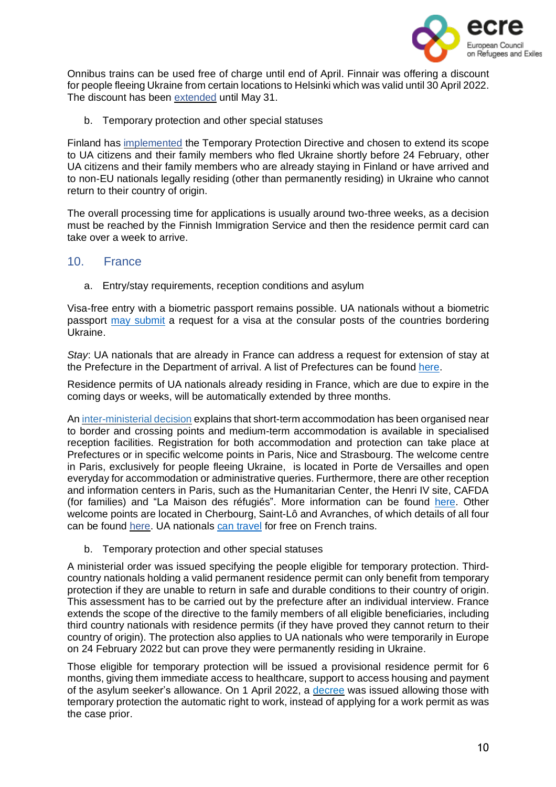

Onnibus trains can be used free of charge until end of April. Finnair was offering a discount for people fleeing Ukraine from certain locations to Helsinki which was valid until 30 April 2022. The discount has been [extended](https://www.finnair.com/gb-en/frequently-asked-questions/bookings-and-payments/do-you-offer-a-discount-for-ukrainians---2584528) until May 31.

b. Temporary protection and other special statuses

Finland has [implemented](https://migri.fi/en/temporary-protection) the Temporary Protection Directive and chosen to extend its scope to UA citizens and their family members who fled Ukraine shortly before 24 February, other UA citizens and their family members who are already staying in Finland or have arrived and to non-EU nationals legally residing (other than permanently residing) in Ukraine who cannot return to their country of origin.

The overall processing time for applications is usually around two-three weeks, as a decision must be reached by the Finnish Immigration Service and then the residence permit card can take over a week to arrive.

#### 10. France

<span id="page-9-0"></span>a. Entry/stay requirements, reception conditions and asylum

Visa-free entry with a biometric passport remains possible. UA nationals without a biometric passport may [submit](https://www.immigration.interieur.gouv.fr/Info-ressources/Actualites/L-actu-immigration/Information-a-destination-des-ressortissants-ukrainiens) a request for a visa at the consular posts of the countries bordering Ukraine.

*Stay*: UA nationals that are already in France can address a request for extension of stay at the Prefecture in the Department of arrival. A list of Prefectures can be found [here.](https://www.interieur.gouv.fr/Le-ministere/Prefectures)

Residence permits of UA nationals already residing in France, which are due to expire in the coming days or weeks, will be automatically extended by three months.

An [inter-ministerial](https://www.legifrance.gouv.fr/download/pdf/circ?id=45315) decision explains that short-term accommodation has been organised near to border and crossing points and medium-term accommodation is available in specialised reception facilities. Registration for both accommodation and protection can take place at Prefectures or in specific welcome points in Paris, Nice and Strasbourg. The welcome centre in Paris, exclusively for people fleeing Ukraine, is located in Porte de Versailles and open everyday for accommodation or administrative queries. Furthermore, there are other reception and information centers in Paris, such as the Humanitarian Center, the Henri IV site, CAFDA (for families) and "La Maison des réfugiés". More information can be found [here.](https://www.paris.fr/pages/how-paris-is-supporting-ukraine-20549) Other welcome points are located in Cherbourg, Saint-Lô and Avranches, of which details of all four can be found [here.](https://www.france-terre-asile.org/actualites/lactualite-france-terre-dasile/informations-pratiques-dispositifs-de-france-terre-d-asile-pour-l-accueil-des-personnes-exilees-d-ukraine) UA nationals can [travel](https://www.ouest-france.fr/monde/guerre-en-ukraine/guerre-en-ukraine-la-sncf-offre-le-train-gratuit-aux-refugies-ukrainiens-5ecc84ec-98cd-11ec-a212-1f68235c1350) for free on French trains.

b. Temporary protection and other special statuses

A ministerial order was issued specifying the people eligible for temporary protection. Thirdcountry nationals holding a valid permanent residence permit can only benefit from temporary protection if they are unable to return in safe and durable conditions to their country of origin. This assessment has to be carried out by the prefecture after an individual interview. France extends the scope of the directive to the family members of all eligible beneficiaries, including third country nationals with residence permits (if they have proved they cannot return to their country of origin). The protection also applies to UA nationals who were temporarily in Europe on 24 February 2022 but can prove they were permanently residing in Ukraine.

Those eligible for temporary protection will be issued a provisional residence permit for 6 months, giving them immediate access to healthcare, support to access housing and payment of the asylum seeker's allowance. On 1 April 2022, a [decree](https://www.legifrance.gouv.fr/jorf/id/JORFTEXT000045462521) was issued allowing those with temporary protection the automatic right to work, instead of applying for a work permit as was the case prior.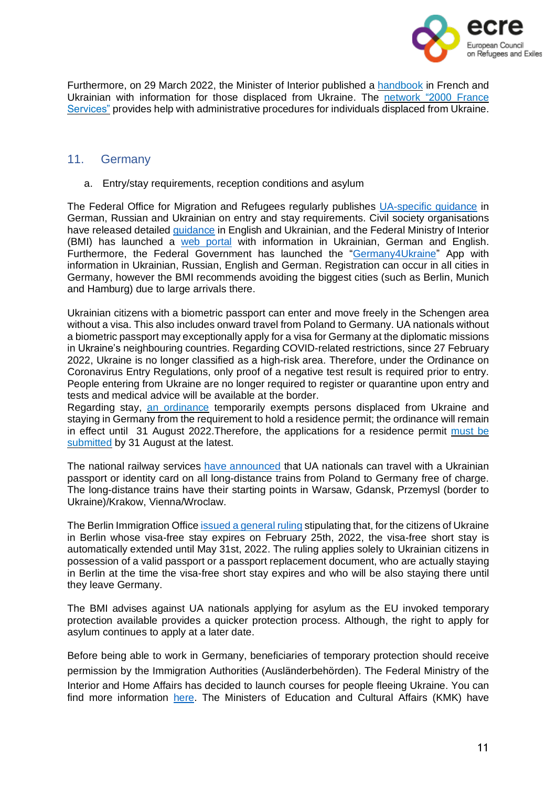

Furthermore, on 29 March 2022, the Minister of Interior published a [handbook](https://www.interieur.gouv.fr/sites/minint/files/medias/documents/2022-03/livret-daccueil-ukraine.pdf) in French and Ukrainian with information for those displaced from Ukraine. The [network](https://www.cohesion-territoires.gouv.fr/politique-daccueil-des-deplaces-dukraine-le-reseau-france-services-mobilise) "2000 France [Services"](https://www.cohesion-territoires.gouv.fr/politique-daccueil-des-deplaces-dukraine-le-reseau-france-services-mobilise) provides help with administrative procedures for individuals displaced from Ukraine.

#### <span id="page-10-0"></span>11. Germany

a. Entry/stay requirements, reception conditions and asylum

The Federal Office for Migration and Refugees regularly publishes [UA-specific](https://www.bamf.de/SharedDocs/Anlagen/DE/AsylFluechtlingsschutz/faq-ukraine.html) guidance in German, Russian and Ukrainian on entry and stay requirements. Civil society organisations have released detailed [guidance](https://minor-kontor.de/aufenthaltsrechtliche-fragen-fuer-menschen-aus-der-ukraine-in-deutschland/) in English and Ukrainian, and the Federal Ministry of Interior (BMI) has launched a web [portal](https://www.germany4ukraine.de/hilfeportal-en) with information in Ukrainian, German and English. Furthermore, the Federal Government has launched the ["Germany4Ukraine"](https://play.google.com/store/apps/details?id=de.germany4ukraine.app&gl=gb&hl=en) App with information in Ukrainian, Russian, English and German. Registration can occur in all cities in Germany, however the BMI recommends avoiding the biggest cities (such as Berlin, Munich and Hamburg) due to large arrivals there.

Ukrainian citizens with a biometric passport can enter and move freely in the Schengen area without a visa. This also includes onward travel from Poland to Germany. UA nationals without a biometric passport may exceptionally apply for a visa for Germany at the diplomatic missions in Ukraine's neighbouring countries. Regarding COVID-related restrictions, since 27 February 2022, Ukraine is no longer classified as a high-risk area. Therefore, under the Ordinance on Coronavirus Entry Regulations, only proof of a negative test result is required prior to entry. People entering from Ukraine are no longer required to register or quarantine upon entry and tests and medical advice will be available at the border.

Regarding stay, an [ordinance](https://www.bundesanzeiger.de/pub/publication/iOtjNkrHCZ76Jw5ReGn/content/iOtjNkrHCZ76Jw5ReGn/BAnz%252520AT%25252008.03.2022%252520V1.pdf?inline) temporarily exempts persons displaced from Ukraine and staying in Germany from the requirement to hold a residence permit; the ordinance will remain in effect until 31 August 2022.Therefore, the applications for a residence permit [must](https://www.bamf.de/SharedDocs/Anlagen/DE/AsylFluechtlingsschutz/faq-ukraine.pdf;jsessionid=A68A32FCDB96103078542F5A76CD517E.intranet232?__blob=publicationFile&v=32) be [submitted](https://www.bamf.de/SharedDocs/Anlagen/DE/AsylFluechtlingsschutz/faq-ukraine.pdf;jsessionid=A68A32FCDB96103078542F5A76CD517E.intranet232?__blob=publicationFile&v=32) by 31 August at the latest.

The national railway services have [announced](https://www.bahn.de/info/helpukraine) that UA nationals can travel with a Ukrainian passport or identity card on all long-distance trains from Poland to Germany free of charge. The long-distance trains have their starting points in Warsaw, Gdansk, Przemysl (border to Ukraine)/Krakow, Vienna/Wroclaw.

The Berlin Immigration Office issued a [general](https://www.berlin.de/einwanderung/ueber-uns/aktuelles/artikel.1180210.php) ruling stipulating that, for the citizens of Ukraine in Berlin whose visa-free stay expires on February 25th, 2022, the visa-free short stay is automatically extended until May 31st, 2022. The ruling applies solely to Ukrainian citizens in possession of a valid passport or a passport replacement document, who are actually staying in Berlin at the time the visa-free short stay expires and who will be also staying there until they leave Germany.

The BMI advises against UA nationals applying for asylum as the EU invoked temporary protection available provides a quicker protection process. Although, the right to apply for asylum continues to apply at a later date.

Before being able to work in Germany, beneficiaries of temporary protection should receive permission by the Immigration Authorities (Ausländerbehörden). The Federal Ministry of the Interior and Home Affairs has decided to launch courses for people fleeing Ukraine. You can find more information [here.](https://www.bamf.de/EN/Themen/Integration/ZugewanderteTeilnehmende/ErsteOrientierung/Erstorientierungskurse/erstorientierungskurse-node.html;jsessionid=575DDBC41BBC7991BF423B0D7C4EE0B6.intranet241) The Ministers of Education and Cultural Affairs (KMK) have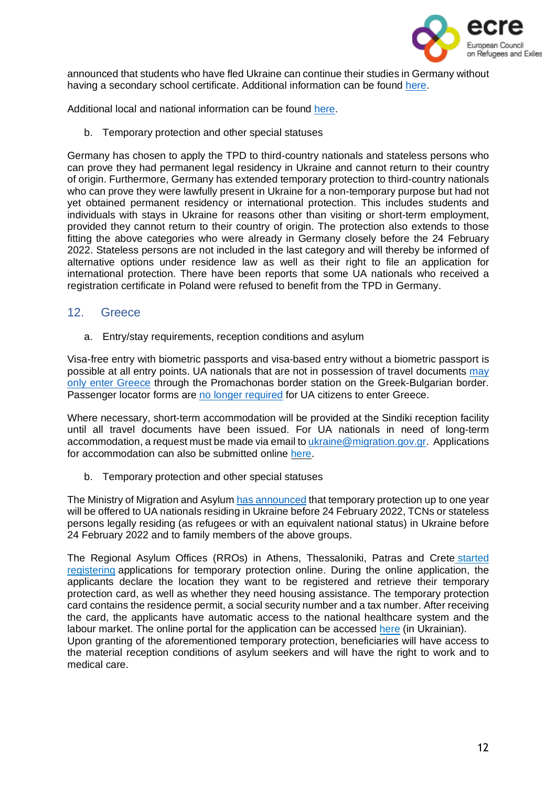

announced that students who have fled Ukraine can continue their studies in Germany without having a secondary school certificate. Additional information can be found [here.](https://ec.europa.eu/migrant-integration/news/deutschland-fuer-ukrainische-gefluechtete-wird-studium-ohne-schulabschluss-ermoeglicht_de)

Additional local and national information can be found [here.](https://www.asyl.net/schutzsuchende-ukraine)

b. Temporary protection and other special statuses

Germany has chosen to apply the TPD to third-country nationals and stateless persons who can prove they had permanent legal residency in Ukraine and cannot return to their country of origin. Furthermore, Germany has extended temporary protection to third-country nationals who can prove they were lawfully present in Ukraine for a non-temporary purpose but had not yet obtained permanent residency or international protection. This includes students and individuals with stays in Ukraine for reasons other than visiting or short-term employment, provided they cannot return to their country of origin. The protection also extends to those fitting the above categories who were already in Germany closely before the 24 February 2022. Stateless persons are not included in the last category and will thereby be informed of alternative options under residence law as well as their right to file an application for international protection. There have been reports that some UA nationals who received a registration certificate in Poland were refused to benefit from the TPD in Germany.

#### <span id="page-11-0"></span>12. Greece

a. Entry/stay requirements, reception conditions and asylum

Visa-free entry with biometric passports and visa-based entry without a biometric passport is possible at all entry points. UA nationals that are not in possession of travel documents [may](https://migration.gov.gr/ukraine/) only enter [Greece](https://migration.gov.gr/ukraine/) through the Promachonas border station on the Greek-Bulgarian border. Passenger locator forms are no longer [required](http://www.ypa.gr/news/nea-covid-19-notam-xwris-plf-oi-afijeis-olwn-twn-epibatwn-ejwterikoy-apo-15-martioy-2022) for UA citizens to enter Greece.

Where necessary, short-term accommodation will be provided at the Sindiki reception facility until all travel documents have been issued. For UA nationals in need of long-term accommodation, a request must be made via email to [ukraine@migration.gov.gr.](mailto:ukraine@migration.gov.gr) Applications for accommodation can also be submitted online [here.](https://migration.gov.gr/accomodation-ukraine/)

b. Temporary protection and other special statuses

The Ministry of Migration and Asylum has [announced](https://www.gov.gr/arxes/oloi-foreis/metanasteuses-kai-asulou/parokhe-prosorines-prostasias-se-ektopismenous-polites-apo-ten-oukrania) that temporary protection up to one year will be offered to UA nationals residing in Ukraine before 24 February 2022, TCNs or stateless persons legally residing (as refugees or with an equivalent national status) in Ukraine before 24 February 2022 and to family members of the above groups.

The Regional Asylum Offices (RROs) in Athens, Thessaloniki, Patras and Crete [started](https://migration.gov.gr/en/xekinise-i-diadikasia-parochis-prosorinis-prostasias-se-ektopisthenta-atoma-apo-tin-oykrania/) [registering](https://migration.gov.gr/en/xekinise-i-diadikasia-parochis-prosorinis-prostasias-se-ektopisthenta-atoma-apo-tin-oykrania/) applications for temporary protection online. During the online application, the applicants declare the location they want to be registered and retrieve their temporary protection card, as well as whether they need housing assistance. The temporary protection card contains the residence permit, a social security number and a tax number. After receiving the card, the applicants have automatic access to the national healthcare system and the labour market. The online portal for the application can be accessed [here](https://apps.migration.gov.gr/temporary-protection/?lang=uk) (in Ukrainian). Upon granting of the aforementioned temporary protection, beneficiaries will have access to

the material reception conditions of asylum seekers and will have the right to work and to medical care.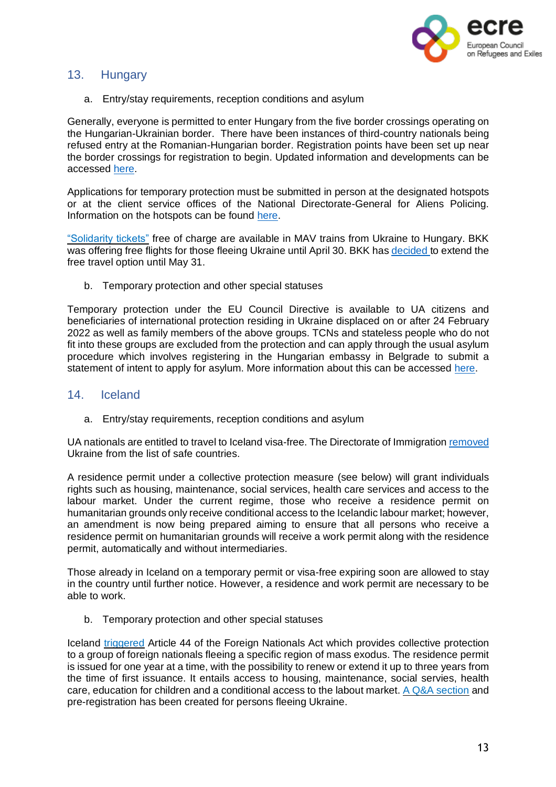

# <span id="page-12-0"></span>13. Hungary

a. Entry/stay requirements, reception conditions and asylum

Generally, everyone is permitted to enter Hungary from the five border crossings operating on the Hungarian-Ukrainian border. There have been instances of third-country nationals being refused entry at the Romanian-Hungarian border. Registration points have been set up near the border crossings for registration to begin. Updated information and developments can be accessed [here.](https://helsinki.hu/en/war-in-ukraine-protection-situation-in-hungary/)

Applications for temporary protection must be submitted in person at the designated hotspots or at the client service offices of the National Directorate-General for Aliens Policing. Information on the hotspots can be found [here.](http://www.bmbah.hu/index.php?option=com_k2&view=item&id=1735:national-directorate-general-for-aliens-policing-information-for-people-fleeing-ukraine&Itemid=2108&lang=en)

["Solidarity](https://www.mavcsoport.hu/en/mav-start/international-travels/travel-ukraine-hungary) tickets" free of charge are available in MAV trains from Ukraine to Hungary. BKK was offering free flights for those fleeing Ukraine until April 30. BKK has [decided](https://bkk.hu/hirek/2022/04/tovabbra-is-ingyenesen-utazhatnak-az-ukrajnai-menekultek-a-bkk-jaratain.7532/) to extend the free travel option until May 31.

b. Temporary protection and other special statuses

Temporary protection under the EU Council Directive is available to UA citizens and beneficiaries of international protection residing in Ukraine displaced on or after 24 February 2022 as well as family members of the above groups. TCNs and stateless people who do not fit into these groups are excluded from the protection and can apply through the usual asylum procedure which involves registering in the Hungarian embassy in Belgrade to submit a statement of intent to apply for asylum. More information about this can be accessed [here.](https://helsinki.hu/en/information-for-people-fleeing-from-ukraine/)

#### <span id="page-12-1"></span>14. Iceland

a. Entry/stay requirements, reception conditions and asylum

UA nationals are entitled to travel to Iceland visa-free. The Directorate of Immigration [removed](https://www.stjornarradid.is/efst-a-baugi/frettir/stok-frett/2022/02/24/Ukraina-thegar-farin-af-lista-yfir-orugg-riki/) Ukraine from the list of safe countries.

A residence permit under a collective protection measure (see below) will grant individuals rights such as housing, maintenance, social services, health care services and access to the labour market. Under the current regime, those who receive a residence permit on humanitarian grounds only receive conditional access to the Icelandic labour market; however, an amendment is now being prepared aiming to ensure that all persons who receive a residence permit on humanitarian grounds will receive a work permit along with the residence permit, automatically and without intermediaries.

Those already in Iceland on a temporary permit or visa-free expiring soon are allowed to stay in the country until further notice. However, a residence and work permit are necessary to be able to work.

b. Temporary protection and other special statuses

Iceland [triggered](https://www.government.is/diplomatic-missions/embassy-article/2022/03/07/The-Minister-of-Justice-permits-temporary-protection-due-to-mass-flight/) Article 44 of the Foreign Nationals Act which provides collective protection to a group of foreign nationals fleeing a specific region of mass exodus. The residence permit is issued for one year at a time, with the possibility to renew or extend it up to three years from the time of first issuance. It entails access to housing, maintenance, social servies, health care, education for children and a conditional access to the labout market. A Q&A [section](https://island.is/en/information-for-ukrainian-citizens) and pre-registration has been created for persons fleeing Ukraine.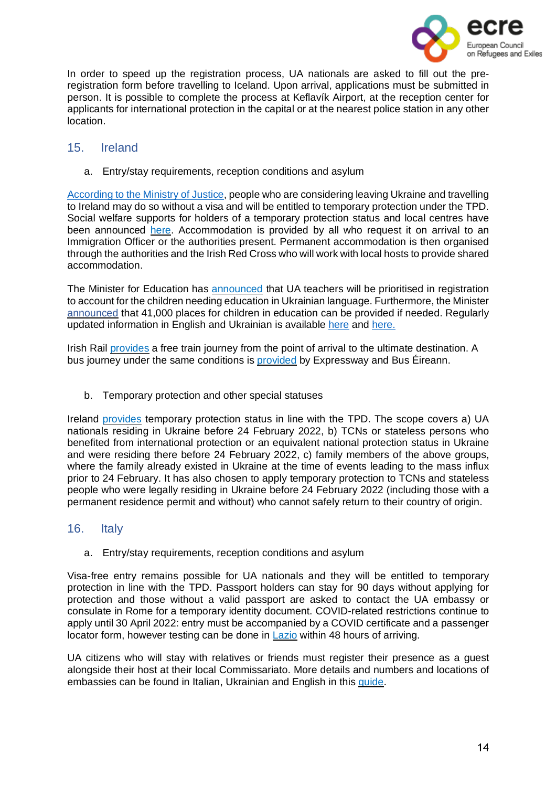

In order to speed up the registration process, UA nationals are asked to fill out the preregistration form before travelling to Iceland. Upon arrival, applications must be submitted in person. It is possible to complete the process at Keflavík Airport, at the reception center for applicants for international protection in the capital or at the nearest police station in any other location.

#### <span id="page-13-0"></span>15. Ireland

a. Entry/stay requirements, reception conditions and asylum

[According](https://www.justice.ie/en/JELR/Pages/PR22000044) to the Ministry of Justice, people who are considering leaving Ukraine and travelling to Ireland may do so without a visa and will be entitled to temporary protection under the TPD. Social welfare supports for holders of a temporary protection status and local centres have been announced [here.](https://www.gov.ie/en/publication/abf3e-social-welfare-supports-for-ukrainian-citizens-arriving-in-ireland-under-the-temporary-protection-directive/) Accommodation is provided by all who request it on arrival to an Immigration Officer or the authorities present. Permanent accommodation is then organised through the authorities and the Irish Red Cross who will work with local hosts to provide shared accommodation.

The Minister for Education has **[announced](https://www.irishtimes.com/news/education/ukrainian-teachers-to-be-fast-tracked-through-registration-system-1.4825517)** that UA teachers will be prioritised in registration to account for the children needing education in Ukrainian language. Furthermore, the Minister [announced](https://www.independent.ie/irish-news/education/40000-places-available-for-ukrainian-students-in-schools-41581754.html) that 41,000 places for children in education can be provided if needed. Regularly updated information in English and Ukrainian is available [here](https://www.irishrefugeecouncil.ie/ukraine-information-note) and [here.](https://doras.org/info-for-ukrainian-nationals/)

Irish Rail [provides](https://www.irishrail.ie/en-ie/news/rail-travel-for-arriving-ukrainian-refugees) a free train journey from the point of arrival to the ultimate destination. A bus journey under the same conditions is [provided](https://www.buseireann.ie/service_updates.php?id=5680&month=Mar) by Expressway and Bus Éireann.

b. Temporary protection and other special statuses

Ireland [provides](https://www.gov.ie/en/publication/0f773-temporary-protection/) temporary protection status in line with the TPD. The scope covers a) UA nationals residing in Ukraine before 24 February 2022, b) TCNs or stateless persons who benefited from international protection or an equivalent national protection status in Ukraine and were residing there before 24 February 2022, c) family members of the above groups, where the family already existed in Ukraine at the time of events leading to the mass influx prior to 24 February. It has also chosen to apply temporary protection to TCNs and stateless people who were legally residing in Ukraine before 24 February 2022 (including those with a permanent residence permit and without) who cannot safely return to their country of origin.

# <span id="page-13-1"></span>16. Italy

a. Entry/stay requirements, reception conditions and asylum

Visa-free entry remains possible for UA nationals and they will be entitled to temporary protection in line with the TPD. Passport holders can stay for 90 days without applying for protection and those without a valid passport are asked to contact the UA embassy or consulate in Rome for a temporary identity document. COVID-related restrictions continue to apply until 30 April 2022: entry must be accompanied by a COVID certificate and a passenger locator form, however testing can be done in [Lazio](https://www.salutelazio.it/informazioni-per-stranieri-rilascio-stp-eni#:~:text=Stranieri%2520STP%2520e%2520ENI&text=L) within 48 hours of arriving.

UA citizens who will stay with relatives or friends must register their presence as a guest alongside their host at their local Commissariato. More details and numbers and locations of embassies can be found in Italian, Ukrainian and English in this [guide.](https://www.comune.roma.it/web/it/informazione-di-servizio.page?contentId=IDS900870&fbclid=IwAR1-ltA3ymAnuQ8iGvcmni9kQL6XSlo3PzkRaUudHI_yNgbtHZ67e8qrEDQ)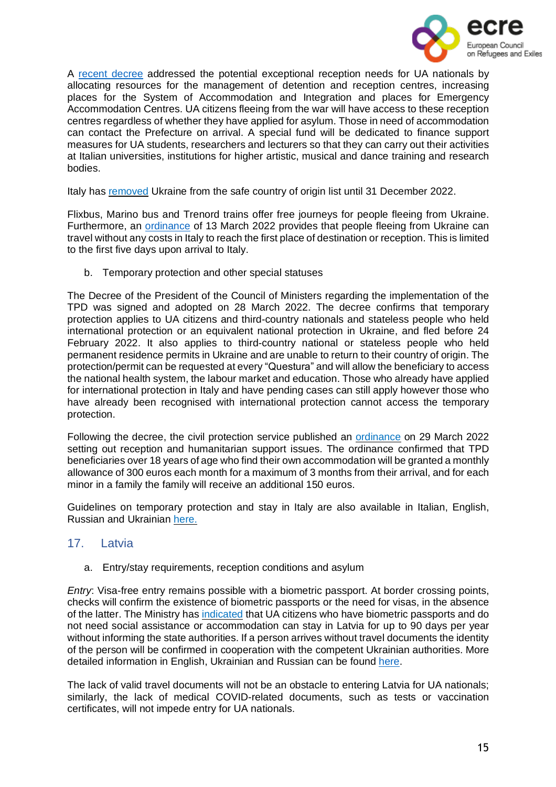

A recent [decree](https://www.gazzettaufficiale.it/eli/id/2022/02/28/22G00025/sg) addressed the potential exceptional reception needs for UA nationals by allocating resources for the management of detention and reception centres, increasing places for the System of Accommodation and Integration and places for Emergency Accommodation Centres. UA citizens fleeing from the war will have access to these reception centres regardless of whether they have applied for asylum. Those in need of accommodation can contact the Prefecture on arrival. A special fund will be dedicated to finance support measures for UA students, researchers and lecturers so that they can carry out their activities at Italian universities, institutions for higher artistic, musical and dance training and research bodies.

Italy has [removed](https://www.esteri.it/it/sala_stampa/archivionotizie/approfondimenti/2022/03/conflitto-russo-ucraino-sospensione-dellucraina-dalla-lista-dei-paesi-sicuri/) Ukraine from the safe country of origin list until 31 December 2022.

Flixbus, Marino bus and Trenord trains offer free journeys for people fleeing from Ukraine. Furthermore, an [ordinance](https://www.protezionecivile.gov.it/it/normativa/ocdpc-n-876-del-13-marzo-2022-0) of 13 March 2022 provides that people fleeing from Ukraine can travel without any costs in Italy to reach the first place of destination or reception. This is limited to the first five days upon arrival to Italy.

b. Temporary protection and other special statuses

The Decree of the President of the Council of Ministers regarding the implementation of the TPD was signed and adopted on 28 March 2022. The decree confirms that temporary protection applies to UA citizens and third-country nationals and stateless people who held international protection or an equivalent national protection in Ukraine, and fled before 24 February 2022. It also applies to third-country national or stateless people who held permanent residence permits in Ukraine and are unable to return to their country of origin. The protection/permit can be requested at every "Questura" and will allow the beneficiary to access the national health system, the labour market and education. Those who already have applied for international protection in Italy and have pending cases can still apply however those who have already been recognised with international protection cannot access the temporary protection.

Following the decree, the civil protection service published an [ordinance](https://www.protezionecivile.gov.it/it/normativa/ocdpc-n-881-del-29-marzo-2022-0) on 29 March 2022 setting out reception and humanitarian support issues. The ordinance confirmed that TPD beneficiaries over 18 years of age who find their own accommodation will be granted a monthly allowance of 300 euros each month for a maximum of 3 months from their arrival, and for each minor in a family the family will receive an additional 150 euros.

Guidelines on temporary protection and stay in Italy are also available in Italian, English, Russian and Ukrainian [here.](https://www.santannapisa.it/it/le-iniziative-della-scuola-santanna-sostegno-della-pace-ucraina)

# <span id="page-14-0"></span>17. Latvia

a. Entry/stay requirements, reception conditions and asylum

*Entry*: Visa-free entry remains possible with a biometric passport. At border crossing points, checks will confirm the existence of biometric passports or the need for visas, in the absence of the latter. The Ministry has [indicated](https://leta.lv/home/important/3B111392-D547-4CCC-8BC2-68F8C547B167/) that UA citizens who have biometric passports and do not need social assistance or accommodation can stay in Latvia for up to 90 days per year without informing the state authorities. If a person arrives without travel documents the identity of the person will be confirmed in cooperation with the competent Ukrainian authorities. More detailed information in English, Ukrainian and Russian can be found [here.](https://www.pmlp.gov.lv/en/article/information-about-arrival-and-staying-latvia)

The lack of valid travel documents will not be an obstacle to entering Latvia for UA nationals; similarly, the lack of medical COVID-related documents, such as tests or vaccination certificates, will not impede entry for UA nationals.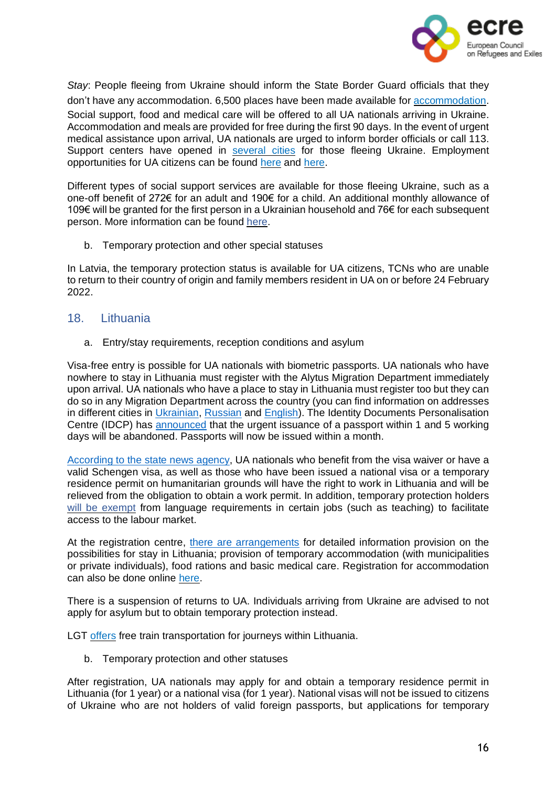

*Stay*: People fleeing from Ukraine should inform the State Border Guard officials that they don't have any accommodation. 6,500 places have been made available for [accommodation.](https://www.lsm.lv/raksts/zinas/latvija/ukrainas-beglu-izmitinasanas-vietu-pielagosanai-nepieciesami-aptuveni-30-miljoni-eiro.a452838/) Social support, food and medical care will be offered to all UA nationals arriving in Ukraine. Accommodation and meals are provided for free during the first 90 days. In the event of urgent medical assistance upon arrival, UA nationals are urged to inform border officials or call 113. Support centers have opened in [several](https://www.ukraine-latvia.com/#arrival) cities for those fleeing Ukraine. Employment opportunities for UA citizens can be found [here](https://cv.lv/ru/search?limit=20&offset=0&suitableForRefugees=true) and [here.](https://ukrainetolatvia.teamtailor.com/)

Different types of social support services are available for those fleeing Ukraine, such as a one-off benefit of 272€ for an adult and 190€ for a child. An additional monthly allowance of 109€ will be granted for the first person in a Ukrainian household and 76€ for each subsequent person. More information can be found [here.](https://www.ukraine-latvia.com/#arrival)

b. Temporary protection and other special statuses

In Latvia, the temporary protection status is available for UA citizens, TCNs who are unable to return to their country of origin and family members resident in UA on or before 24 February 2022.

#### <span id="page-15-0"></span>18. Lithuania

a. Entry/stay requirements, reception conditions and asylum

Visa-free entry is possible for UA nationals with biometric passports. UA nationals who have nowhere to stay in Lithuania must register with the Alytus Migration Department immediately upon arrival. UA nationals who have a place to stay in Lithuania must register too but they can do so in any Migration Department across the country (you can find information on addresses in different cities in [Ukrainian,](https://migracija.lrv.lt/lt/naudinga-informacija/ukraina-ukrayina-ukraina-ukraine/informatsiia-dlia-gromadian-ukrayini) [Russian](https://migracija.lrv.lt/lt/naudinga-informacija/ukraina-ukrayina-ukraina-ukraine/informatsiia-dlia-grazhdan-ukrainy) and [English\)](https://migracija.lrv.lt/lt/naudinga-informacija/ukraina-ukrayina-ukraina-ukraine/information-for-ukrainian-citizens). The Identity Documents Personalisation Centre (IDCP) has [announced](https://migracija.lrv.lt/en/news/temporary-changes-to-passport-deadlines-from-20-april) that the urgent issuance of a passport within 1 and 5 working days will be abandoned. Passports will now be issued within a month.

[According](https://www.lrt.lt/en/news-in-english/19/1629175/lithuania-facilitates-migration-procedures-for-refugees-from-ukraine) to the state news agency, UA nationals who benefit from the visa waiver or have a valid Schengen visa, as well as those who have been issued a national visa or a temporary residence permit on humanitarian grounds will have the right to work in Lithuania and will be relieved from the obligation to obtain a work permit. In addition, temporary protection holders will be [exempt](https://lrv.lt/lt/naujienos/j-siugzdiniene-ukrainieciai-spes-ismokti-lietuviskai-jiems-turime-sudaryti-galimybes-dirbti-jau-dabar) from language requirements in certain jobs (such as teaching) to facilitate access to the labour market.

At the registration centre, there are [arrangements](https://migracija.lrv.lt/lt/naudinga-informacija/ukraina-ukrayina-ukraina-ukraine/information-for-ukrainian-citizens) for detailed information provision on the possibilities for stay in Lithuania; provision of temporary accommodation (with municipalities or private individuals), food rations and basic medical care. Registration for accommodation can also be done online [here.](https://stipruskartu.lt/form-en-help/)

There is a suspension of returns to UA. Individuals arriving from Ukraine are advised to not apply for asylum but to obtain temporary protection instead.

LGT [offers](https://ltgcargo.ua/en/news/ukrainian-citizens-will-be-able-to-travel-by-train-in-lithuania-free-of-charge/) free train transportation for journeys within Lithuania.

b. Temporary protection and other statuses

After registration, UA nationals may apply for and obtain a temporary residence permit in Lithuania (for 1 year) or a national visa (for 1 year). National visas will not be issued to citizens of Ukraine who are not holders of valid foreign passports, but applications for temporary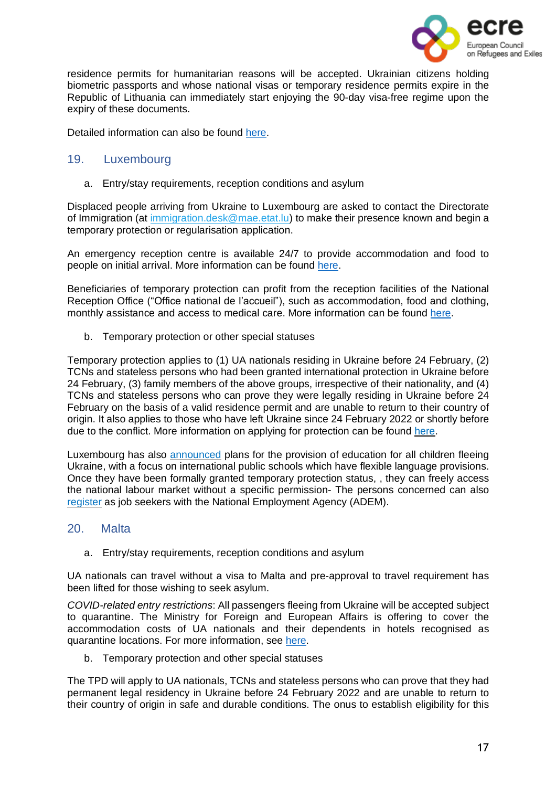

residence permits for humanitarian reasons will be accepted. Ukrainian citizens holding biometric passports and whose national visas or temporary residence permits expire in the Republic of Lithuania can immediately start enjoying the 90-day visa-free regime upon the expiry of these documents.

Detailed information can also be found [here.](https://rise.articulate.com/share/B4LAPySg0wKNxwuo_I1h4BLmipJICVX2#/lessons/vuXKAFsCM0DdkITYH2XeZQrcVQ2eBZ98)

#### 19. Luxembourg

<span id="page-16-0"></span>a. Entry/stay requirements, reception conditions and asylum

Displaced people arriving from Ukraine to Luxembourg are asked to contact the Directorate of Immigration (at *immigration.desk@mae.etat.lu*) to make their presence known and begin a temporary protection or regularisation application.

An emergency reception centre is available 24/7 to provide accommodation and food to people on initial arrival. More information can be found [here.](https://gouvernement.lu/en/actualites/toutes_actualites/communiques/2022/03-mars/03-accueil-ukraine.html)

Beneficiaries of temporary protection can profit from the reception facilities of the National Reception Office ("Office national de l'accueil"), such as accommodation, food and clothing, monthly assistance and access to medical care. More information can be found [here.](https://maee.gouvernement.lu/en/services-aux-citoyens/accueil-de-personnes-ukraine/FAQ.html)

b. Temporary protection or other special statuses

Temporary protection applies to (1) UA nationals residing in Ukraine before 24 February, (2) TCNs and stateless persons who had been granted international protection in Ukraine before 24 February, (3) family members of the above groups, irrespective of their nationality, and (4) TCNs and stateless persons who can prove they were legally residing in Ukraine before 24 February on the basis of a valid residence permit and are unable to return to their country of origin. It also applies to those who have left Ukraine since 24 February 2022 or shortly before due to the conflict. More information on applying for protection can be found [here.](https://guichet.public.lu/en/citoyens/immigration/ukraine/protection-temporaire.html)

Luxembourg has also [announced](https://gouvernement.lu/en/actualites/toutes_actualites/communiques/2022/03-mars/18-accueil-eleves-ukrainiens.html) plans for the provision of education for all children fleeing Ukraine, with a focus on international public schools which have flexible language provisions. Once they have been formally granted temporary protection status, , they can freely access the national labour market without a specific permission- The persons concerned can also [register](https://maee.gouvernement.lu/en/services-aux-citoyens/accueil-de-personnes-ukraine/FAQ.html) as job seekers with the National Employment Agency (ADEM).

#### <span id="page-16-1"></span>20. Malta

a. Entry/stay requirements, reception conditions and asylum

UA nationals can travel without a visa to Malta and pre-approval to travel requirement has been lifted for those wishing to seek asylum.

*COVID-related entry restrictions*: All passengers fleeing from Ukraine will be accepted subject to quarantine. The Ministry for Foreign and European Affairs is offering to cover the accommodation costs of UA nationals and their dependents in hotels recognised as quarantine locations. For more information, see [here.](https://foreignandeu.gov.mt/en/Government/Press%2520Releases/Pages/The-Ministry-for-Foreign-and-European-Affairs-is-offering-to-cover-the-accommodation-costs-of-Ukrainian-nationals-and-their.aspx)

b. Temporary protection and other special statuses

The TPD will apply to UA nationals, TCNs and stateless persons who can prove that they had permanent legal residency in Ukraine before 24 February 2022 and are unable to return to their country of origin in safe and durable conditions. The onus to establish eligibility for this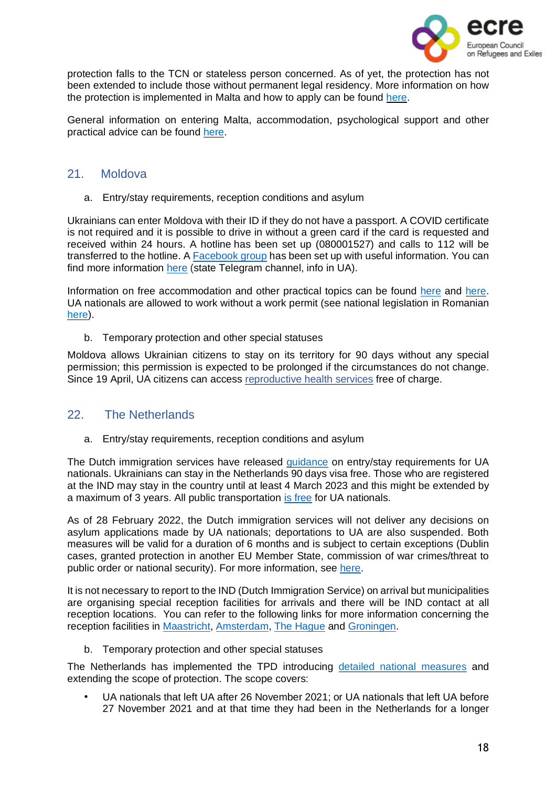

protection falls to the TCN or stateless person concerned. As of yet, the protection has not been extended to include those without permanent legal residency. More information on how the protection is implemented in Malta and how to apply can be found [here.](https://homeaffairs.gov.mt/en/MHAS-Departments/International%20Protection%20Agency/Pages/Temporary-Protection-Directive---Ukraine.aspx)

General information on entering Malta, accommodation, psychological support and other practical advice can be found [here.](https://maltarefugeecouncil.org.mt/Ukraine-Info-Ukraine-Community-Crisis-Centre-Malta)

# <span id="page-17-0"></span>21. Moldova

a. Entry/stay requirements, reception conditions and asylum

Ukrainians can enter Moldova with their ID if they do not have a passport. A COVID certificate is not required and it is possible to drive in without a green card if the card is requested and received within 24 hours. A hotline has been set up (080001527) and calls to 112 will be transferred to the hotline. A [Facebook](https://www.facebook.com/groups/347615063908402) group has been set up with useful information. You can find more information [here](https://t.me/prima_sursa_md/24) (state Telegram channel, info in UA).

Information on free accommodation and other practical topics can be found [here](https://simpals.999.md/help_refugees) and [here.](https://cda.md/2022/02/24/how-to-apply-for-asylum-in-moldova/) UA nationals are allowed to work without a work permit (see national legislation in Romanian [here\)](https://gov.md/sites/default/files/document/attachments/dispozitia_cse_4_01.03.2022.pdf).

b. Temporary protection and other special statuses

Moldova allows Ukrainian citizens to stay on its territory for 90 days without any special permission; this permission is expected to be prolonged if the circumstances do not change. Since 19 April, UA citizens can access [reproductive](https://gov.md/en/content/ukrainian-refugees-benefit-free-charge-reproductive-health-services) health services free of charge.

# 22. The Netherlands

<span id="page-17-1"></span>a. Entry/stay requirements, reception conditions and asylum

The Dutch immigration services have released [guidance](https://ind.nl/oekraine/Paginas/Naar-Nederland-komen-en-opvang.aspx) on entry/stay requirements for UA nationals. Ukrainians can stay in the Netherlands 90 days visa free. Those who are registered at the IND may stay in the country until at least 4 March 2023 and this might be extended by a maximum of 3 years. All public transportation is [free](https://nltimes.nl/2022/03/01/public-transportation-netherlands-free-ukrainian-newcomers) for UA nationals.

As of 28 February 2022, the Dutch immigration services will not deliver any decisions on asylum applications made by UA nationals; deportations to UA are also suspended. Both measures will be valid for a duration of 6 months and is subject to certain exceptions (Dublin cases, granted protection in another EU Member State, commission of war crimes/threat to public order or national security). For more information, see [here.](https://ind.nl/Paginas/oekraine-gevolgen-verblijf-en-aanvragen.aspx)

It is not necessary to report to the IND (Dutch Immigration Service) on arrival but municipalities are organising special reception facilities for arrivals and there will be IND contact at all reception locations. You can refer to the following links for more information concerning the reception facilities in [Maastricht,](https://www.gemeentemaastricht.nl/en/ukraine) [Amsterdam,](https://www.amsterdam.nl/en/news/amsterdam-supports-ukraine/) The [Hague](https://www.denhaag.nl/en/municipality-of-the-hague/ukraine/ukraine-frequently-asked-questions.htm) and [Groningen.](https://iwcn.nl/ukraine/?cn-reloaded=1)

b. Temporary protection and other special statuses

The Netherlands has implemented the TPD introducing detailed national [measures](https://ind.nl/en/ukraine/Pages/Temporary-scheme-Ukraine.aspx) and extending the scope of protection. The scope covers:

• UA nationals that left UA after 26 November 2021; or UA nationals that left UA before 27 November 2021 and at that time they had been in the Netherlands for a longer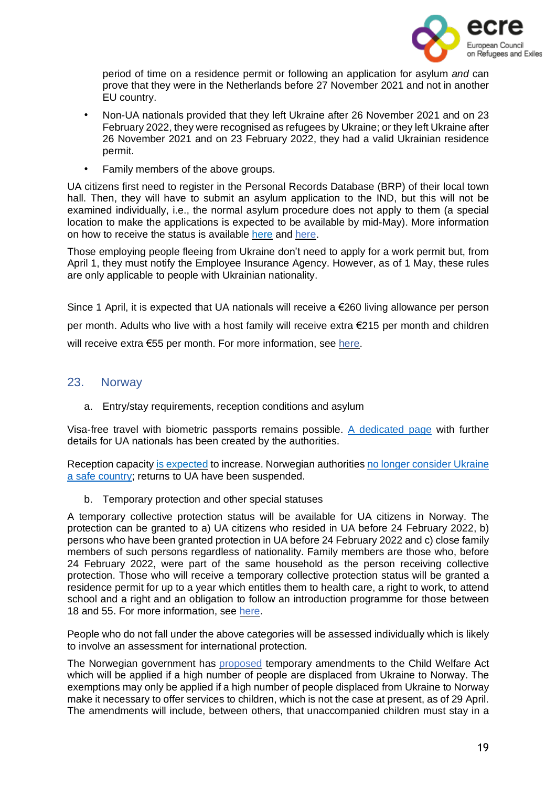

period of time on a residence permit or following an application for asylum *and* can prove that they were in the Netherlands before 27 November 2021 and not in another EU country.

- Non-UA nationals provided that they left Ukraine after 26 November 2021 and on 23 February 2022, they were recognised as refugees by Ukraine; or they left Ukraine after 26 November 2021 and on 23 February 2022, they had a valid Ukrainian residence permit.
- Family members of the above groups.

UA citizens first need to register in the Personal Records Database (BRP) of their local town hall. Then, they will have to submit an asylum application to the IND, but this will not be examined individually, i.e., the normal asylum procedure does not apply to them (a special location to make the applications is expected to be available by mid-May). More information on how to receive the status is available [here](https://ind.nl/en/ukraine/Pages/Temporary-scheme-Ukraine.aspx) and [here.](https://www.refugeehelp.nl/get-help/category/legal-registration)

Those employing people fleeing from Ukraine don't need to apply for a work permit but, from April 1, they must notify the Employee Insurance Agency. However, as of 1 May, these rules are only applicable to people with Ukrainian nationality.

Since 1 April, it is expected that UA nationals will receive a €260 living allowance per person per month. Adults who live with a host family will receive extra €215 per month and children will receive extra €55 per month. For more information, see [here.](https://www.refugeehelp.nl/get-help/category/work-income)

#### <span id="page-18-0"></span>23. Norway

a. Entry/stay requirements, reception conditions and asylum

Visa-free travel with biometric passports remains possible. A [dedicated](https://www.udi.no/en/important-messages/information-regarding-the-situation-in-ukraine/) page with further details for UA nationals has been created by the authorities.

Reception capacity is [expected](https://www.regjeringen.no/en/aktuelt/temporary-collective-protection-for-ukrainians/id2903140/) to increase. Norwegian authorities no longer [consider](https://www.udi.no/en/important-messages/information-regarding-the-situation-in-ukraine/#link-30069) Ukraine a safe [country;](https://www.udi.no/en/important-messages/information-regarding-the-situation-in-ukraine/#link-30069) returns to UA have been suspended.

b. Temporary protection and other special statuses

A temporary collective protection status will be available for UA citizens in Norway. The protection can be granted to a) UA citizens who resided in UA before 24 February 2022, b) persons who have been granted protection in UA before 24 February 2022 and c) close family members of such persons regardless of nationality. Family members are those who, before 24 February 2022, were part of the same household as the person receiving collective protection. Those who will receive a temporary collective protection status will be granted a residence permit for up to a year which entitles them to health care, a right to work, to attend school and a right and an obligation to follow an introduction programme for those between 18 and 55. For more information, see [here.](https://www.politiet.no/en/services/residence-permits-and-protection/the-war-in-ukraine/applying-for-collective-protection-as-a-ukrainian-national/#undefined)

People who do not fall under the above categories will be assessed individually which is likely to involve an assessment for international protection.

The Norwegian government has [proposed](https://www.regjeringen.no/en/aktuelt/proposal-for-temporary-amendments-to-the-child-welfare-act-to-handle-the-increase-in-refugees-from-ukraine-to-norway/id2910748/) temporary amendments to the Child Welfare Act which will be applied if a high number of people are displaced from Ukraine to Norway. The exemptions may only be applied if a high number of people displaced from Ukraine to Norway make it necessary to offer services to children, which is not the case at present, as of 29 April. The amendments will include, between others, that unaccompanied children must stay in a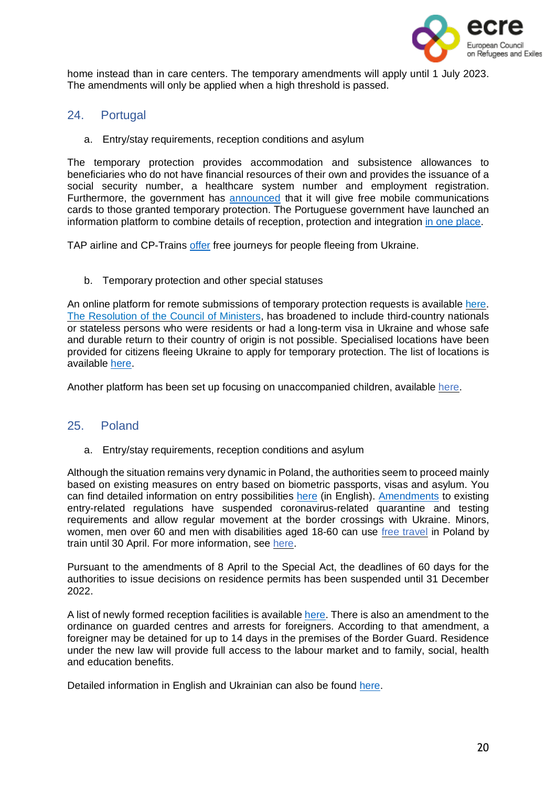

home instead than in care centers. The temporary amendments will apply until 1 July 2023. The amendments will only be applied when a high threshold is passed.

- <span id="page-19-0"></span>24. Portugal
	- a. Entry/stay requirements, reception conditions and asylum

The temporary protection provides accommodation and subsistence allowances to beneficiaries who do not have financial resources of their own and provides the issuance of a social security number, a healthcare system number and employment registration. Furthermore, the government has **[announced](https://eportugal.gov.pt/pt/noticias/servicos-de-comunicacoes-moveis-gratuitos-para-refugiados-da-ucrania)** that it will give free mobile communications cards to those granted temporary protection. The Portuguese government have launched an information platform to combine details of reception, protection and integration in one [place.](https://portugalforukraine.gov.pt/en/pagina-inicial-english/)

TAP airline and CP-Trains [offer](https://eportugal.gov.pt/en/ucrania-informacoes-e-apoios-disponiveis-em-portugal#transportation) free journeys for people fleeing from Ukraine.

b. Temporary protection and other special statuses

An online platform for remote submissions of temporary protection requests is available [here.](https://sefforukraine.sef.pt/) The [Resolution](https://bit.ly/3tlPx7b) of the Council of Ministers, has broadened to include third-country nationals or stateless persons who were residents or had a long-term visa in Ukraine and whose safe and durable return to their country of origin is not possible. Specialised locations have been provided for citizens fleeing Ukraine to apply for temporary protection. The list of locations is available [here.](https://imigrante.sef.pt/deslocacao-sef/)

Another platform has been set up focusing on unaccompanied children, available [here.](https://portugalforukraine.gov.pt/registo-e-protecao-de-criancas-deslocadas-da-ucrania/)

# <span id="page-19-1"></span>25. Poland

a. Entry/stay requirements, reception conditions and asylum

Although the situation remains very dynamic in Poland, the authorities seem to proceed mainly based on existing measures on entry based on biometric passports, visas and asylum. You can find detailed information on entry possibilities [here](https://ukraina.interwencjaprawna.pl/en/) (in English). [Amendments](https://www.dziennikustaw.gov.pl/D2022000046201.pdf) to existing entry-related regulations have suspended coronavirus-related quarantine and testing requirements and allow regular movement at the border crossings with Ukraine. Minors, women, men over 60 and men with disabilities aged 18-60 can use free [travel](https://www.gov.pl/web/ua/Bezkoshtovnyy-proyizd-potyahom-dlya-hromadyan-Ukrayiny) in Poland by train until 30 April. For more information, see [here.](https://www.gov.pl/web/ua)

Pursuant to the amendments of 8 April to the Special Act, the deadlines of 60 days for the authorities to issue decisions on residence permits has been suspended until 31 December 2022.

A list of newly formed reception facilities is available [here.](https://www.gov.pl/web/ua) There is also an amendment to the ordinance on guarded centres and arrests for foreigners. According to that amendment, a foreigner may be detained for up to 14 days in the premises of the Border Guard. Residence under the new law will provide full access to the labour market and to family, social, health and education benefits.

Detailed information in English and Ukrainian can also be found [here.](https://ukraina.interwencjaprawna.pl/)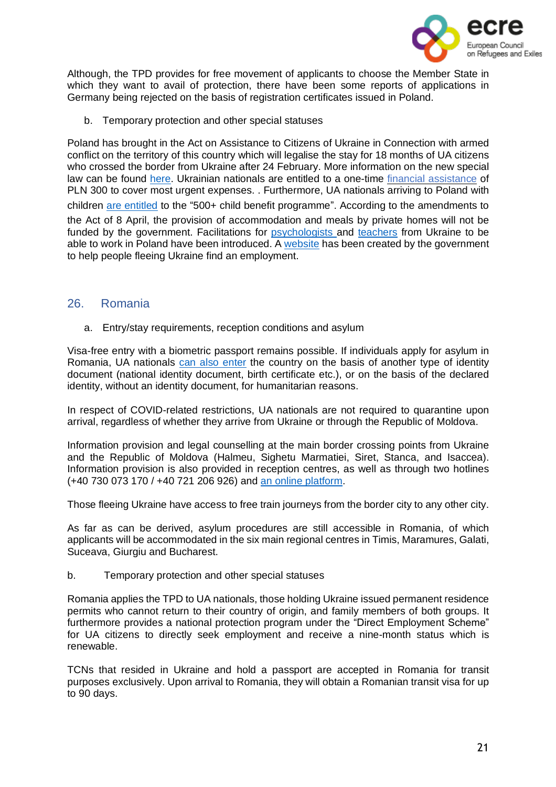

Although, the TPD provides for free movement of applicants to choose the Member State in which they want to avail of protection, there have been some reports of applications in Germany being rejected on the basis of registration certificates issued in Poland.

b. Temporary protection and other special statuses

Poland has brought in the Act on Assistance to Citizens of Ukraine in Connection with armed conflict on the territory of this country which will legalise the stay for 18 months of UA citizens who crossed the border from Ukraine after 24 February. More information on the new special law can be found [here.](https://koniecznywierzbicki.pl/en/major-changes-in-terms-of-employment-and-legalisation-of-residence-of-foreigners-in-poland-resulting-from-the-draft-law-on-assistance-to-citizens-of-ukraine-in-connection-with-armed-conflict-on-the-t/) Ukrainian nationals are entitled to a one-time financial [assistance](https://www.gov.pl/web/gov/otrymayte-odnorazovu-hroshovu-dopomohu) of PLN 300 to cover most urgent expenses. . Furthermore, UA nationals arriving to Poland with children are [entitled](https://notesfrompoland.com/2022/03/02/poland-to-make-it-easier-for-ukrainian-refugees-to-work-and-receive-child-benefits/) to the "500+ child benefit programme". According to the amendments to the Act of 8 April, the provision of accommodation and meals by private homes will not be funded by the government. Facilitations for [psychologists](https://ukraina.interwencjaprawna.pl/facilitations-for-psychologists-from-ukraine/) and [teachers](https://ukraina.interwencjaprawna.pl/facilitations-for-teachers-from-ukraine/) from Ukraine to be able to work in Poland have been introduced. A [website](https://psz-praca-gov-pl.translate.goog/pomocdlaukrainy?_x_tr_sl=uk&_x_tr_tl=en&_x_tr_hl=es) has been created by the government to help people fleeing Ukraine find an employment.

#### <span id="page-20-0"></span>26. Romania

a. Entry/stay requirements, reception conditions and asylum

Visa-free entry with a biometric passport remains possible. If individuals apply for asylum in Romania, UA nationals can also [enter](https://www.gov.ro/ro/ucraina-impreuna-ajutam-mai-mult#null) the country on the basis of another type of identity document (national identity document, birth certificate etc.), or on the basis of the declared identity, without an identity document, for humanitarian reasons.

In respect of COVID-related restrictions, UA nationals are not required to quarantine upon arrival, regardless of whether they arrive from Ukraine or through the Republic of Moldova.

Information provision and legal counselling at the main border crossing points from Ukraine and the Republic of Moldova (Halmeu, Sighetu Marmatiei, Siret, Stanca, and Isaccea). Information provision is also provided in reception centres, as well as through two hotlines (+40 730 073 170 / +40 721 206 926) and an online [platform.](https://dopomoha.ro/en)

Those fleeing Ukraine have access to free train journeys from the border city to any other city.

As far as can be derived, asylum procedures are still accessible in Romania, of which applicants will be accommodated in the six main regional centres in Timis, Maramures, Galati, Suceava, Giurgiu and Bucharest.

b. Temporary protection and other special statuses

Romania applies the TPD to UA nationals, those holding Ukraine issued permanent residence permits who cannot return to their country of origin, and family members of both groups. It furthermore provides a national protection program under the "Direct Employment Scheme" for UA citizens to directly seek employment and receive a nine-month status which is renewable.

TCNs that resided in Ukraine and hold a passport are accepted in Romania for transit purposes exclusively. Upon arrival to Romania, they will obtain a Romanian transit visa for up to 90 days.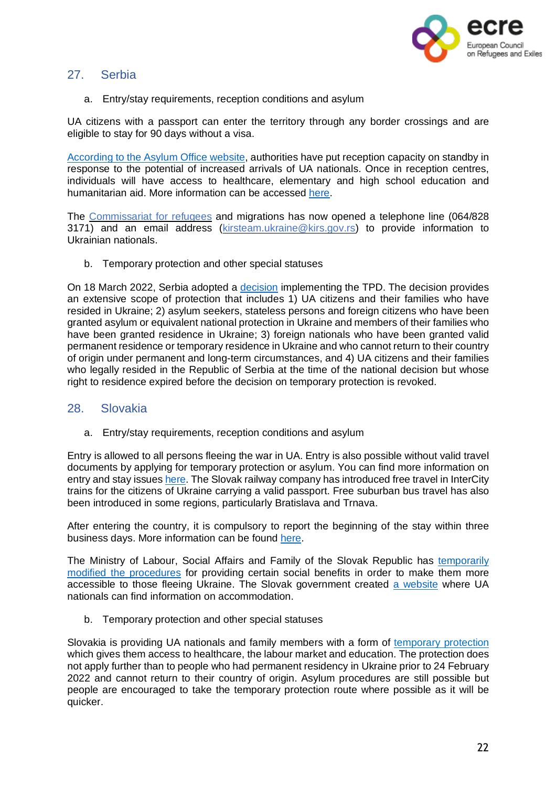

# <span id="page-21-0"></span>27. Serbia

a. Entry/stay requirements, reception conditions and asylum

UA citizens with a passport can enter the territory through any border crossings and are eligible to stay for 90 days without a visa.

[According](https://kirs.gov.rs/cir/aktuelno/spremni-za-prihvat-izbeglica-iz-ukrajine/3893) to the Asylum Office website, authorities have put reception capacity on standby in response to the potential of increased arrivals of UA nationals. Once in reception centres, individuals will have access to healthcare, elementary and high school education and humanitarian aid. More information can be accessed [here.](https://www.azilsrbija.rs/vazne-informacije-za-izbeglice-iz-ukrajine/?lang=en)

The [Commissariat](https://kirs.gov.rs/eng/aktuelno/contact-number-and-email-address-for-refugees-coming-from-ukraine-and-those-that-have-accommodated-them-in-serbia/3901) for refugees and migrations has now opened a telephone line (064/828 3171) and an email address [\(kirsteam.ukraine@kirs.gov.rs\)](mailto:kirsteam.ukraine@kirs.gov.rs) to provide information to Ukrainian nationals.

b. Temporary protection and other special statuses

On 18 March 2022, Serbia adopted a [decision](https://www.pravno-informacioni-sistem.rs/SlGlasnikPortal/eli/rep/sgrs/vlada/odluka/2022/36/1/reg) implementing the TPD. The decision provides an extensive scope of protection that includes 1) UA citizens and their families who have resided in Ukraine; 2) asylum seekers, stateless persons and foreign citizens who have been granted asylum or equivalent national protection in Ukraine and members of their families who have been granted residence in Ukraine; 3) foreign nationals who have been granted valid permanent residence or temporary residence in Ukraine and who cannot return to their country of origin under permanent and long-term circumstances, and 4) UA citizens and their families who legally resided in the Republic of Serbia at the time of the national decision but whose right to residence expired before the decision on temporary protection is revoked.

# <span id="page-21-1"></span>28. Slovakia

a. Entry/stay requirements, reception conditions and asylum

Entry is allowed to all persons fleeing the war in UA. Entry is also possible without valid travel documents by applying for temporary protection or asylum. You can find more information on entry and stay issues [here.](https://ua.gov.sk/en.html) The Slovak railway company has introduced free travel in InterCity trains for the citizens of Ukraine carrying a valid passport. Free suburban bus travel has also been introduced in some regions, particularly Bratislava and Trnava.

After entering the country, it is compulsory to report the beginning of the stay within three business days. More information can be found [here.](https://www.mic.iom.sk/en/news/758-info-ukraine.html)

The Ministry of Labour, Social Affairs and Family of the Slovak Republic has [temporarily](https://www.employment.gov.sk/sk/uvodna-stranka/informacie-media/aktuality/statne-socialne-davky-pomoc-hmotnej-nudzi-budu-odidencov-z-ukrajiny-dostupnejsie.html) modified the [procedures](https://www.employment.gov.sk/sk/uvodna-stranka/informacie-media/aktuality/statne-socialne-davky-pomoc-hmotnej-nudzi-budu-odidencov-z-ukrajiny-dostupnejsie.html) for providing certain social benefits in order to make them more accessible to those fleeing Ukraine. The Slovak government created a [website](https://pomocpreukrajinu.sk/) where UA nationals can find information on accommodation.

b. Temporary protection and other special statuses

Slovakia is providing UA nationals and family members with a form of [temporary](https://www.minv.sk/?tlacove-spravy&sprava=slovensko-od-1-marca-poskytuje-docasne-utocisko-obcanom-ukrajiny-a-ich-pribuznym-k-dispozicii-je-informacny-letak) protection which gives them access to healthcare, the labour market and education. The protection does not apply further than to people who had permanent residency in Ukraine prior to 24 February 2022 and cannot return to their country of origin. Asylum procedures are still possible but people are encouraged to take the temporary protection route where possible as it will be quicker.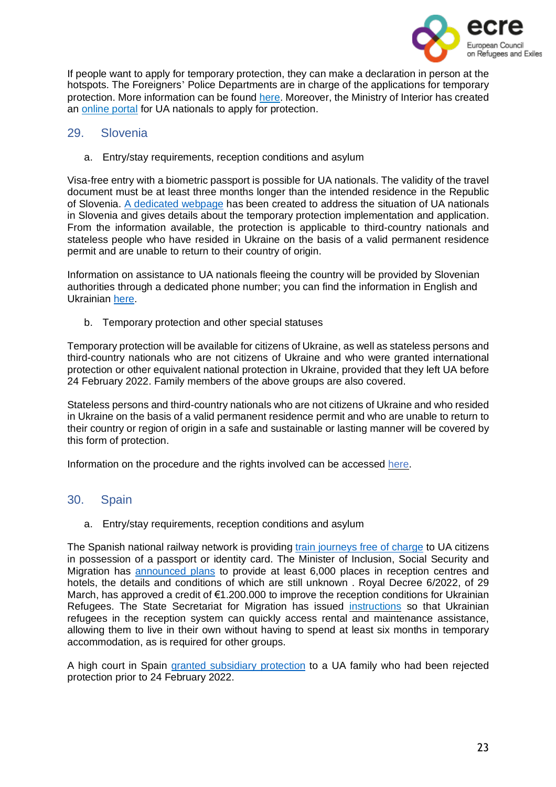

If people want to apply for temporary protection, they can make a declaration in person at the hotspots. The Foreigners' Police Departments are in charge of the applications for temporary protection. More information can be found [here.](https://www.mic.iom.sk/en/news/758-info-ukraine.html) Moreover, the Ministry of Interior has created an [online](https://portal.minv.sk/wps/portal/domov/ecu/ecu_elektronicke_sluzby/ECU-UA/!ut/p/a1/pdFNC4IwGMDxz9LBY-7Jt7LbzPKlJHpZ2S6hYCqZhlrSt8-kg4GZ0G4bvz9sexBFNqKxcw99Jw-T2IleeyodBZhMdXMOprZWFVjtuM1MNAgHc74EhzpYWgMJMLG2CpZLAOKfvdCtn2hYF4YLKIMRB4aq6OpQtgAMqVsPXxaGX_0e0U_S8APtQHiDtjdUoOWSJqJ-lLjVwA44dvmRj2jqnbzUS9lbWh4HeX7NxgwwUBQFewnjO5udGWjyQZLlyK4xdL0QQmwIjT51HwXuPQG8_s86/dl5/d5/L2dBISEvZ0FBIS9nQSEh/) portal for UA nationals to apply for protection.

#### <span id="page-22-0"></span>29. Slovenia

a. Entry/stay requirements, reception conditions and asylum

Visa-free entry with a biometric passport is possible for UA nationals. The validity of the travel document must be at least three months longer than the intended residence in the Republic of Slovenia. A [dedicated](https://www.gov.si/teme/pomoc-slovenije-drzavljanom-ukrajine/#e147987) webpage has been created to address the situation of UA nationals in Slovenia and gives details about the temporary protection implementation and application. From the information available, the protection is applicable to third-country nationals and stateless people who have resided in Ukraine on the basis of a valid permanent residence permit and are unable to return to their country of origin.

Information on assistance to UA nationals fleeing the country will be provided by Slovenian authorities through a dedicated phone number; you can find the information in English and Ukrainian [here.](https://www.gov.si/en/news/2022-02-27-all-the-information-on-the-assistance-that-republic-of-slovenia-provides-to-refugees-from-ukraine/)

b. Temporary protection and other special statuses

Temporary protection will be available for citizens of Ukraine, as well as stateless persons and third-country nationals who are not citizens of Ukraine and who were granted international protection or other equivalent national protection in Ukraine, provided that they left UA before 24 February 2022. Family members of the above groups are also covered.

Stateless persons and third-country nationals who are not citizens of Ukraine and who resided in Ukraine on the basis of a valid permanent residence permit and who are unable to return to their country or region of origin in a safe and sustainable or lasting manner will be covered by this form of protection.

Information on the procedure and the rights involved can be accessed [here.](https://www.gov.si/en/topics/slovenias-assistance-to-the-citizens-of-ukraine/)

# <span id="page-22-1"></span>30. Spain

a. Entry/stay requirements, reception conditions and asylum

The Spanish national railway network is providing train [journeys](https://euroweeklynews.com/2022/03/06/renfe-offers-free-travel-on-all-trains-to-refugees-from-ukraine/) free of charge to UA citizens in possession of a passport or identity card. The Minister of Inclusion, Social Security and Migration has [announced](https://euroweeklynews.com/2022/03/07/6000-ukrainian-refugees-due-to-arrive-in-spain/) plans to provide at least 6,000 places in reception centres and hotels, the details and conditions of which are still unknown . Royal Decree 6/2022, of 29 March, has approved a credit of €1.200.000 to improve the reception conditions for Ukrainian Refugees. The State Secretariat for Migration has issued [instructions](https://elpais.com/espana/2022-04-12/migraciones-permite-que-los-refugiados-ucranios-accedan-a-las-ayudas-alquiler-sin-pasar-por-centros-de-acogida.html?ssm=TW_CC) so that Ukrainian refugees in the reception system can quickly access rental and maintenance assistance, allowing them to live in their own without having to spend at least six months in temporary accommodation, as is required for other groups.

A high court in Spain granted [subsidiary](https://elpais.com/espana/2022-02-25/la-audiencia-nacional-cambia-su-criterio-ante-la-ofensiva-rusa-y-reconoce-la-proteccion-a-una-familia-ucrania-que-pidio-asilo.html) protection to a UA family who had been rejected protection prior to 24 February 2022.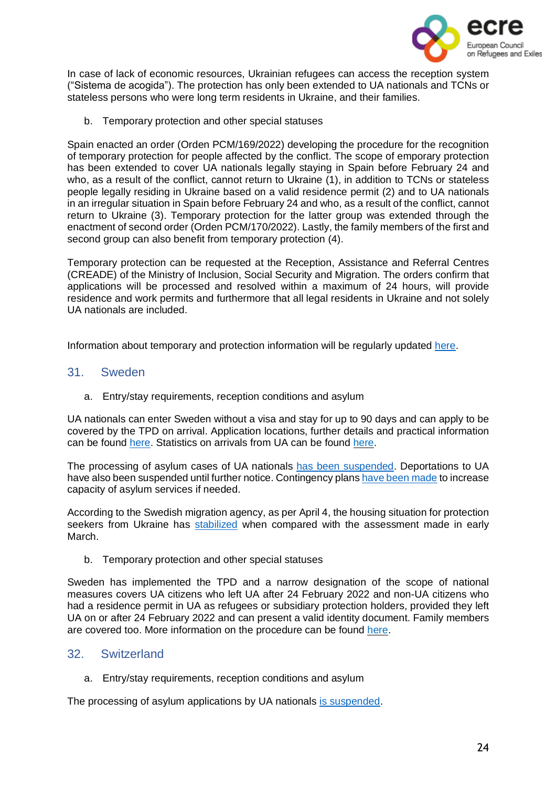

In case of lack of economic resources, Ukrainian refugees can access the reception system ("Sistema de acogida"). The protection has only been extended to UA nationals and TCNs or stateless persons who were long term residents in Ukraine, and their families.

b. Temporary protection and other special statuses

Spain enacted an order (Orden PCM/169/2022) developing the procedure for the recognition of temporary protection for people affected by the conflict. The scope of emporary protection has been extended to cover UA nationals legally staying in Spain before February 24 and who, as a result of the conflict, cannot return to Ukraine (1), in addition to TCNs or stateless people legally residing in Ukraine based on a valid residence permit (2) and to UA nationals in an irregular situation in Spain before February 24 and who, as a result of the conflict, cannot return to Ukraine (3). Temporary protection for the latter group was extended through the enactment of second order (Orden PCM/170/2022). Lastly, the family members of the first and second group can also benefit from temporary protection (4).

Temporary protection can be requested at the Reception, Assistance and Referral Centres (CREADE) of the Ministry of Inclusion, Social Security and Migration. The orders confirm that applications will be processed and resolved within a maximum of 24 hours, will provide residence and work permits and furthermore that all legal residents in Ukraine and not solely UA nationals are included.

Information about temporary and protection information will be regularly updated [here.](https://www.cear.es/guia-sobre-el-asilo-en-espana-para-personas-afectadas-por-la-guerra-en-ucrania/)

#### <span id="page-23-0"></span>31. Sweden

a. Entry/stay requirements, reception conditions and asylum

UA nationals can enter Sweden without a visa and stay for up to 90 days and can apply to be covered by the TPD on arrival. Application locations, further details and practical information can be found [here.](https://www.migrationsverket.se/Om-Migrationsverket/Aktuella-fragor/Situationen-i-Ukraina.html) Statistics on arrivals from UA can be found [here.](https://www.migrationsverket.se/Om-Migrationsverket/Statistik/Sokande-fran-Ukraina.html)

The processing of asylum cases of UA nationals has been [suspended.](https://www.migrationsverket.se/Om-Migrationsverket/Pressrum/Nyhetsarkiv/Nyhetsarkiv-2022/2022-02-24-Migrationsverket-stoppar-tillfalligt-utvisningar-till-Ukraina.html) Deportations to UA have also been suspended until further notice. Contingency plans have been [made](https://www.migrationsverket.se/Om-Migrationsverket/Pressrum/Nyhetsarkiv/Nyhetsarkiv-2022/2022-02-24-Migrationsverket-har-okad-beredskap-efter-utvecklingen-i-Ukraina.html) to increase capacity of asylum services if needed.

According to the Swedish migration agency, as per April 4, the housing situation for protection seekers from Ukraine has [stabilized](https://www.migrationsverket.se/English/About-the-Migration-Agency/For-press/News-archive/News-archive-2022/2022-04-04-Reduced-need-for-temporary-housing-for-protection-seekers-from-Ukraine.html) when compared with the assessment made in early March.

b. Temporary protection and other special statuses

Sweden has implemented the TPD and a narrow designation of the scope of national measures covers UA citizens who left UA after 24 February 2022 and non-UA citizens who had a residence permit in UA as refugees or subsidiary protection holders, provided they left UA on or after 24 February 2022 and can present a valid identity document. Family members are covered too. More information on the procedure can be found [here.](https://www.migrationsverket.se/English/Private-individuals/Protection-under-the-Temporary-Protection-Directive/Apply-for-protection-under-the-Temporary-Protection-Directive.html)

# <span id="page-23-1"></span>32. Switzerland

a. Entry/stay requirements, reception conditions and asylum

The processing of asylum applications by UA nationals is [suspended.](https://twitter.com/SEMIGRATION/status/1496867921075011586?cxt=HHwWhIDU9bDc-MUpAAAA)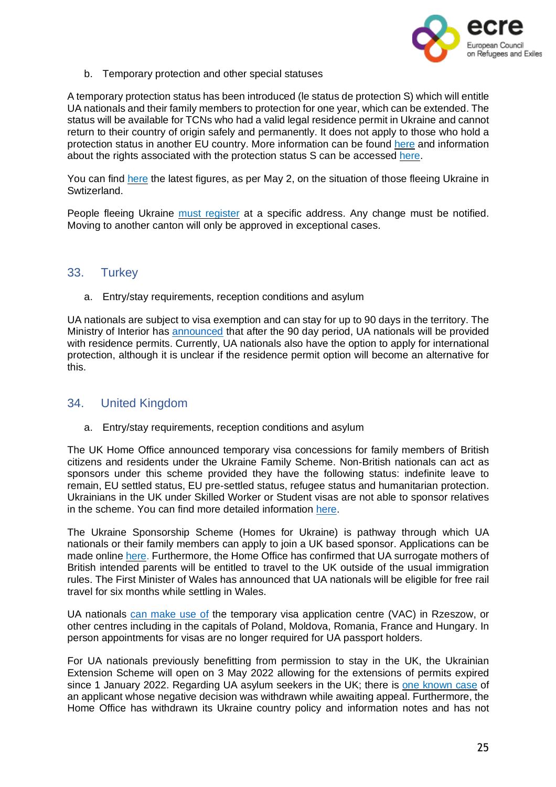

b. Temporary protection and other special statuses

A temporary protection status has been introduced (le status de protection S) which will entitle UA nationals and their family members to protection for one year, which can be extended. The status will be available for TCNs who had a valid legal residence permit in Ukraine and cannot return to their country of origin safely and permanently. It does not apply to those who hold a protection status in another EU country. More information can be found [here](https://www.admin.ch/gov/fr/accueil/documentation/communiques.msg-id-87556.html) and information about the rights associated with the protection status S can be accessed [here.](https://www.sem.admin.ch/dam/sem/fr/data/asyl/faktenblatt-schutzstatus-s.pdf)

You can find [here](https://twitter.com/SEMIGRATION/status/1521082894176993281?cxt=HHwWgoC-1am1_JsqAAAA) the latest figures, as per May 2, on the situation of those fleeing Ukraine in Swtizerland.

People fleeing Ukraine must [register](https://twitter.com/SEMIGRATION/status/1518836276690100224) at a specific address. Any change must be notified. Moving to another canton will only be approved in exceptional cases.

#### <span id="page-24-0"></span>33. Turkey

a. Entry/stay requirements, reception conditions and asylum

UA nationals are subject to visa exemption and can stay for up to 90 days in the territory. The Ministry of Interior has [announced](http://www.xinhuanet.com/english/europe/20220307/82a1bd1a4b8b43728ff8e4fc312ba43f/c.html) that after the 90 day period, UA nationals will be provided with residence permits. Currently, UA nationals also have the option to apply for international protection, although it is unclear if the residence permit option will become an alternative for this.

# <span id="page-24-1"></span>34. United Kingdom

a. Entry/stay requirements, reception conditions and asylum

The UK Home Office announced temporary visa concessions for family members of British citizens and residents under the Ukraine Family Scheme. Non-British nationals can act as sponsors under this scheme provided they have the following status: indefinite leave to remain, EU settled status, EU pre-settled status, refugee status and humanitarian protection. Ukrainians in the UK under Skilled Worker or Student visas are not able to sponsor relatives in the scheme. You can find more detailed information [here.](https://www.gov.uk/guidance/support-for-family-members-of-british-nationals-in-ukraine-and-ukrainian-nationals-in-ukraine-and-the-uk)

The Ukraine Sponsorship Scheme (Homes for Ukraine) is pathway through which UA nationals or their family members can apply to join a UK based sponsor. Applications can be made online [here.](https://apply.visas-immigration.service.gov.uk/has-international-ukrainian-passport) Furthermore, the Home Office has confirmed that UA surrogate mothers of British intended parents will be entitled to travel to the UK outside of the usual immigration rules. The First Minister of Wales has announced that UA nationals will be eligible for free rail travel for six months while settling in Wales.

UA nationals can [make](https://www.gov.uk/guidance/support-for-family-members-of-british-nationals-in-ukraine-and-ukrainian-nationals-in-ukraine-and-the-uk) use of the temporary visa application centre (VAC) in Rzeszow, or other centres including in the capitals of Poland, Moldova, Romania, France and Hungary. In person appointments for visas are no longer required for UA passport holders.

For UA nationals previously benefitting from permission to stay in the UK, the Ukrainian Extension Scheme will open on 3 May 2022 allowing for the extensions of permits expired since 1 January 2022. Regarding UA asylum seekers in the UK; there is one [known](https://freemovement.org.uk/home-office-agrees-to-reconsider-landmark-ukraine-asylum-case/?mc_cid=71f2bcc19a&mc_eid=63b3836a97) case of an applicant whose negative decision was withdrawn while awaiting appeal. Furthermore, the Home Office has withdrawn its Ukraine country policy and information notes and has not